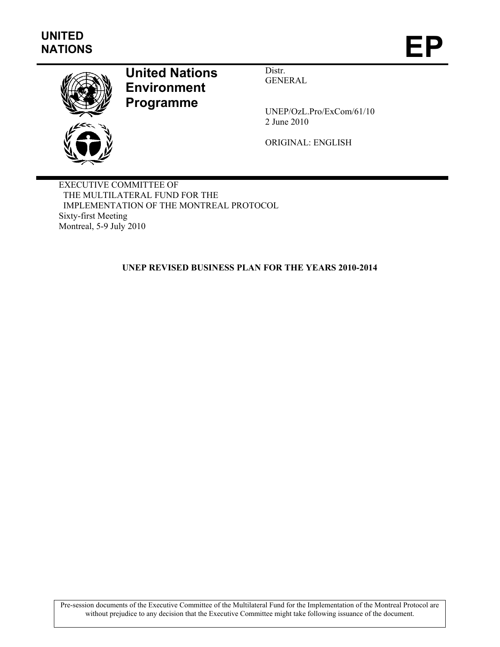

# **United Nations Environment Programme**

Distr. GENERAL

UNEP/OzL.Pro/ExCom/61/10 2 June 2010

ORIGINAL: ENGLISH

EXECUTIVE COMMITTEE OF THE MULTILATERAL FUND FOR THE IMPLEMENTATION OF THE MONTREAL PROTOCOL Sixty-first Meeting Montreal, 5-9 July 2010

**UNEP REVISED BUSINESS PLAN FOR THE YEARS 2010-2014** 

Pre-session documents of the Executive Committee of the Multilateral Fund for the Implementation of the Montreal Protocol are without prejudice to any decision that the Executive Committee might take following issuance of the document.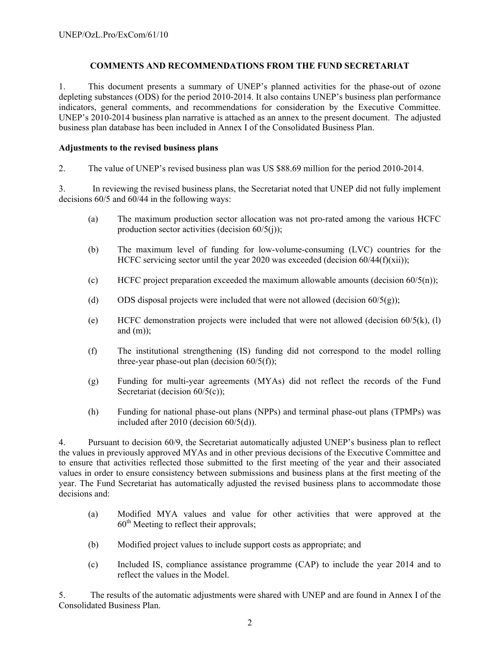### **COMMENTS AND RECOMMENDATIONS FROM THE FUND SECRETARIAT**

1. This document presents a summary of UNEP's planned activities for the phase-out of ozone depleting substances (ODS) for the period 2010-2014. It also contains UNEP's business plan performance indicators, general comments, and recommendations for consideration by the Executive Committee. UNEP's 2010-2014 business plan narrative is attached as an annex to the present document. The adjusted business plan database has been included in Annex I of the Consolidated Business Plan.

#### **Adjustments to the revised business plans**

2. The value of UNEP's revised business plan was US \$88.69 million for the period 2010-2014.

3. In reviewing the revised business plans, the Secretariat noted that UNEP did not fully implement decisions 60/5 and 60/44 in the following ways:

- (a) The maximum production sector allocation was not pro-rated among the various HCFC production sector activities (decision  $60/5(i)$ );
- (b) The maximum level of funding for low-volume-consuming (LVC) countries for the HCFC servicing sector until the year 2020 was exceeded (decision  $60/44(f)(xii)$ );
- (c) HCFC project preparation exceeded the maximum allowable amounts (decision  $60/5(n)$ );
- (d) ODS disposal projects were included that were not allowed (decision  $60/5(g)$ );
- (e) HCFC demonstration projects were included that were not allowed (decision  $60/5(k)$ , (l) and  $(m)$ ;
- (f) The institutional strengthening (IS) funding did not correspond to the model rolling three-year phase-out plan (decision  $60/5(f)$ );
- (g) Funding for multi-year agreements (MYAs) did not reflect the records of the Fund Secretariat (decision 60/5(c));
- (h) Funding for national phase-out plans (NPPs) and terminal phase-out plans (TPMPs) was included after 2010 (decision 60/5(d)).

4. Pursuant to decision 60/9, the Secretariat automatically adjusted UNEP's business plan to reflect the values in previously approved MYAs and in other previous decisions of the Executive Committee and to ensure that activities reflected those submitted to the first meeting of the year and their associated values in order to ensure consistency between submissions and business plans at the first meeting of the year. The Fund Secretariat has automatically adjusted the revised business plans to accommodate those decisions and:

- (a) Modified MYA values and value for other activities that were approved at the  $60<sup>th</sup>$  Meeting to reflect their approvals;
- (b) Modified project values to include support costs as appropriate; and
- (c) Included IS, compliance assistance programme (CAP) to include the year 2014 and to reflect the values in the Model.

5. The results of the automatic adjustments were shared with UNEP and are found in Annex I of the Consolidated Business Plan.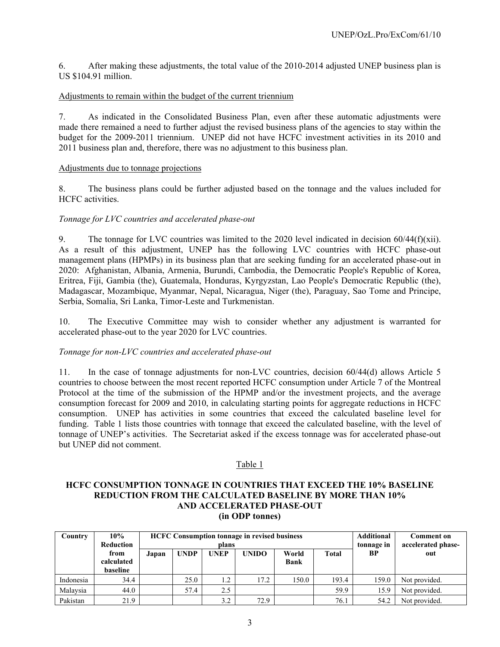6. After making these adjustments, the total value of the 2010-2014 adjusted UNEP business plan is US \$104.91 million.

#### Adjustments to remain within the budget of the current triennium

7. As indicated in the Consolidated Business Plan, even after these automatic adjustments were made there remained a need to further adjust the revised business plans of the agencies to stay within the budget for the 2009-2011 triennium. UNEP did not have HCFC investment activities in its 2010 and 2011 business plan and, therefore, there was no adjustment to this business plan.

#### Adjustments due to tonnage projections

8. The business plans could be further adjusted based on the tonnage and the values included for HCFC activities.

#### *Tonnage for LVC countries and accelerated phase-out*

9. The tonnage for LVC countries was limited to the 2020 level indicated in decision  $60/44(f)(xii)$ . As a result of this adjustment, UNEP has the following LVC countries with HCFC phase-out management plans (HPMPs) in its business plan that are seeking funding for an accelerated phase-out in 2020: Afghanistan, Albania, Armenia, Burundi, Cambodia, the Democratic People's Republic of Korea, Eritrea, Fiji, Gambia (the), Guatemala, Honduras, Kyrgyzstan, Lao People's Democratic Republic (the), Madagascar, Mozambique, Myanmar, Nepal, Nicaragua, Niger (the), Paraguay, Sao Tome and Principe, Serbia, Somalia, Sri Lanka, Timor-Leste and Turkmenistan.

10. The Executive Committee may wish to consider whether any adjustment is warranted for accelerated phase-out to the year 2020 for LVC countries.

#### *Tonnage for non-LVC countries and accelerated phase-out*

11. In the case of tonnage adjustments for non-LVC countries, decision 60/44(d) allows Article 5 countries to choose between the most recent reported HCFC consumption under Article 7 of the Montreal Protocol at the time of the submission of the HPMP and/or the investment projects, and the average consumption forecast for 2009 and 2010, in calculating starting points for aggregate reductions in HCFC consumption. UNEP has activities in some countries that exceed the calculated baseline level for funding. Table 1 lists those countries with tonnage that exceed the calculated baseline, with the level of tonnage of UNEP's activities. The Secretariat asked if the excess tonnage was for accelerated phase-out but UNEP did not comment.

#### Table 1

#### **HCFC CONSUMPTION TONNAGE IN COUNTRIES THAT EXCEED THE 10% BASELINE REDUCTION FROM THE CALCULATED BASELINE BY MORE THAN 10% AND ACCELERATED PHASE-OUT (in ODP tonnes)**

| Country   | $10\%$<br><b>Reduction</b>     |       | <b>HCFC Consumption tonnage in revised business</b><br>plans |             |              |                      | <b>Additional</b><br>tonnage in | <b>Comment on</b><br>accelerated phase- |               |
|-----------|--------------------------------|-------|--------------------------------------------------------------|-------------|--------------|----------------------|---------------------------------|-----------------------------------------|---------------|
|           | from<br>calculated<br>baseline | Japan | <b>UNDP</b>                                                  | <b>UNEP</b> | <b>UNIDO</b> | World<br><b>Bank</b> | <b>Total</b>                    | BP                                      | out           |
| Indonesia | 34.4                           |       | 25.0                                                         | 1.2         | 17.2         | 150.0                | 193.4                           | 159.0                                   | Not provided. |
| Malaysia  | 44.0                           |       | 57.4                                                         | 2.5         |              |                      | 59.9                            | 15.9                                    | Not provided. |
| Pakistan  | 21.9                           |       |                                                              | 3.2         | 72.9         |                      | 76.1                            | 54.2                                    | Not provided. |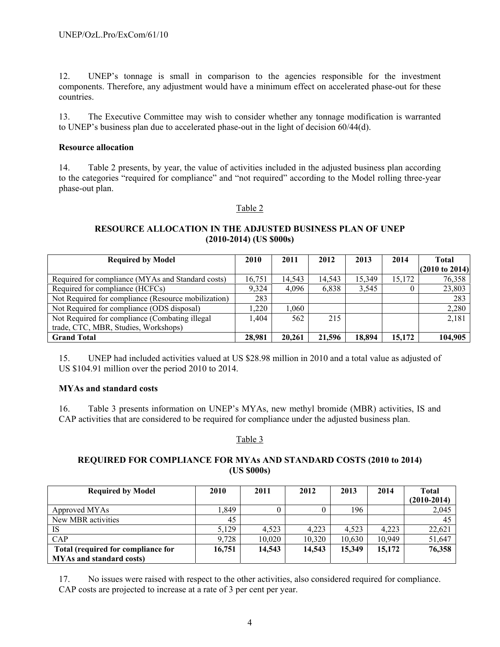12. UNEP's tonnage is small in comparison to the agencies responsible for the investment components. Therefore, any adjustment would have a minimum effect on accelerated phase-out for these countries.

13. The Executive Committee may wish to consider whether any tonnage modification is warranted to UNEP's business plan due to accelerated phase-out in the light of decision 60/44(d).

#### **Resource allocation**

14. Table 2 presents, by year, the value of activities included in the adjusted business plan according to the categories "required for compliance" and "not required" according to the Model rolling three-year phase-out plan.

#### Table 2

#### **RESOURCE ALLOCATION IN THE ADJUSTED BUSINESS PLAN OF UNEP (2010-2014) (US \$000s)**

| <b>Required by Model</b>                            | 2010   | 2011   | 2012   | 2013   | 2014   | Total                     |
|-----------------------------------------------------|--------|--------|--------|--------|--------|---------------------------|
|                                                     |        |        |        |        |        | $(2010 \text{ to } 2014)$ |
| Required for compliance (MYAs and Standard costs)   | 16.751 | 14.543 | 14,543 | 15,349 | 15.172 | 76,358                    |
| Required for compliance (HCFCs)                     | 9.324  | 4,096  | 6,838  | 3,545  |        | 23,803                    |
| Not Required for compliance (Resource mobilization) | 283    |        |        |        |        | 283                       |
| Not Required for compliance (ODS disposal)          | 1.220  | 1.060  |        |        |        | 2,280                     |
| Not Required for compliance (Combating illegal      | 1.404  | 562    | 215    |        |        | 2,181                     |
| trade, CTC, MBR, Studies, Workshops)                |        |        |        |        |        |                           |
| <b>Grand Total</b>                                  | 28.981 | 20,261 | 21,596 | 18.894 | 15,172 | 104,905                   |

15. UNEP had included activities valued at US \$28.98 million in 2010 and a total value as adjusted of US \$104.91 million over the period 2010 to 2014.

#### **MYAs and standard costs**

16. Table 3 presents information on UNEP's MYAs, new methyl bromide (MBR) activities, IS and CAP activities that are considered to be required for compliance under the adjusted business plan.

#### Table 3

#### **REQUIRED FOR COMPLIANCE FOR MYAs AND STANDARD COSTS (2010 to 2014) (US \$000s)**

| <b>Required by Model</b>           | 2010   | 2011   | 2012   | 2013   | 2014   | Total         |
|------------------------------------|--------|--------|--------|--------|--------|---------------|
|                                    |        |        |        |        |        | $(2010-2014)$ |
| Approved MYAs                      | .849   | 0      |        | 196    |        | 2,045         |
| New MBR activities                 | 45     |        |        |        |        | 45            |
| <b>IS</b>                          | 5.129  | 4.523  | 4.223  | 4.523  | 4.223  | 22,621        |
| CAP                                | 9.728  | 10,020 | 10.320 | 10.630 | 10.949 | 51,647        |
| Total (required for compliance for | 16,751 | 14,543 | 14.543 | 15.349 | 15,172 | 76,358        |
| <b>MYAs and standard costs)</b>    |        |        |        |        |        |               |

17. No issues were raised with respect to the other activities, also considered required for compliance. CAP costs are projected to increase at a rate of 3 per cent per year.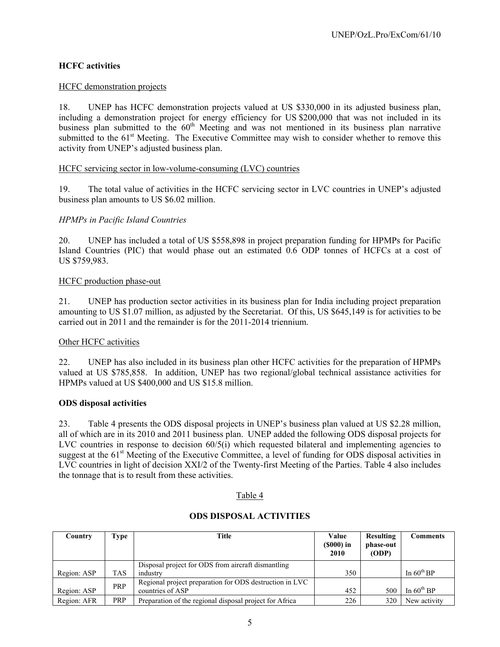### **HCFC activities**

#### HCFC demonstration projects

18. UNEP has HCFC demonstration projects valued at US \$330,000 in its adjusted business plan, including a demonstration project for energy efficiency for US \$200,000 that was not included in its business plan submitted to the  $60<sup>th</sup>$  Meeting and was not mentioned in its business plan narrative submitted to the 61<sup>st</sup> Meeting. The Executive Committee may wish to consider whether to remove this activity from UNEP's adjusted business plan.

#### HCFC servicing sector in low-volume-consuming (LVC) countries

19. The total value of activities in the HCFC servicing sector in LVC countries in UNEP's adjusted business plan amounts to US \$6.02 million.

#### *HPMPs in Pacific Island Countries*

20. UNEP has included a total of US \$558,898 in project preparation funding for HPMPs for Pacific Island Countries (PIC) that would phase out an estimated 0.6 ODP tonnes of HCFCs at a cost of US \$759,983.

#### HCFC production phase-out

21. UNEP has production sector activities in its business plan for India including project preparation amounting to US \$1.07 million, as adjusted by the Secretariat. Of this, US \$645,149 is for activities to be carried out in 2011 and the remainder is for the 2011-2014 triennium.

#### Other HCFC activities

22. UNEP has also included in its business plan other HCFC activities for the preparation of HPMPs valued at US \$785,858. In addition, UNEP has two regional/global technical assistance activities for HPMPs valued at US \$400,000 and US \$15.8 million.

#### **ODS disposal activities**

23. Table 4 presents the ODS disposal projects in UNEP's business plan valued at US \$2.28 million, all of which are in its 2010 and 2011 business plan. UNEP added the following ODS disposal projects for LVC countries in response to decision  $60/5(i)$  which requested bilateral and implementing agencies to suggest at the 61<sup>st</sup> Meeting of the Executive Committee, a level of funding for ODS disposal activities in LVC countries in light of decision XXI/2 of the Twenty-first Meeting of the Parties. Table 4 also includes the tonnage that is to result from these activities.

#### Table 4

| Country     | Type       | Title                                                   | Value<br>$(S000)$ in<br>2010 | <b>Resulting</b><br>phase-out<br>(ODP) | <b>Comments</b>        |
|-------------|------------|---------------------------------------------------------|------------------------------|----------------------------------------|------------------------|
|             |            | Disposal project for ODS from aircraft dismantling      |                              |                                        |                        |
| Region: ASP | <b>TAS</b> | industry                                                | 350                          |                                        | In $60^{\text{th}}$ BP |
|             | PRP        | Regional project preparation for ODS destruction in LVC |                              |                                        |                        |
| Region: ASP |            | countries of ASP                                        | 452                          | 500                                    | In $60^{\text{th}}$ BP |
| Region: AFR | PRP        | Preparation of the regional disposal project for Africa | 226                          | 320                                    | New activity           |

#### **ODS DISPOSAL ACTIVITIES**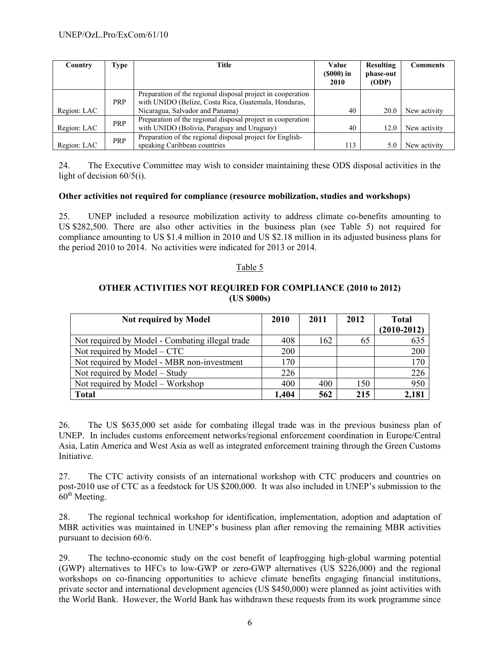| Country     | Type       | Title                                                                                                               | Value<br>$(S000)$ in<br>2010 | Resulting<br>phase-out<br>(ODP) | Comments     |
|-------------|------------|---------------------------------------------------------------------------------------------------------------------|------------------------------|---------------------------------|--------------|
|             | <b>PRP</b> | Preparation of the regional disposal project in cooperation<br>with UNIDO (Belize, Costa Rica, Guatemala, Honduras, |                              |                                 |              |
| Region: LAC |            | Nicaragua, Salvador and Panama)                                                                                     | 40                           | 20.0                            | New activity |
|             | PRP        | Preparation of the regional disposal project in cooperation                                                         |                              |                                 |              |
| Region: LAC |            | with UNIDO (Bolivia, Paraguay and Uruguay)                                                                          | 40                           | 12.0                            | New activity |
|             | <b>PRP</b> | Preparation of the regional disposal project for English-                                                           |                              |                                 |              |
| Region: LAC |            | speaking Caribbean countries                                                                                        | 113                          |                                 | New activity |

24. The Executive Committee may wish to consider maintaining these ODS disposal activities in the light of decision 60/5(i).

#### **Other activities not required for compliance (resource mobilization, studies and workshops)**

25. UNEP included a resource mobilization activity to address climate co-benefits amounting to US \$282,500. There are also other activities in the business plan (see Table 5) not required for compliance amounting to US \$1.4 million in 2010 and US \$2.18 million in its adjusted business plans for the period 2010 to 2014. No activities were indicated for 2013 or 2014.

#### Table 5

### **OTHER ACTIVITIES NOT REQUIRED FOR COMPLIANCE (2010 to 2012) (US \$000s)**

| Not required by Model                           | 2010  | 2011 | 2012 | <b>Total</b>  |
|-------------------------------------------------|-------|------|------|---------------|
|                                                 |       |      |      | $(2010-2012)$ |
| Not required by Model - Combating illegal trade | 408   | 162  | 65   | 635           |
| Not required by $Model - CTC$                   | 200   |      |      | 200           |
| Not required by Model - MBR non-investment      | 170   |      |      | 170           |
| Not required by Model – Study                   | 226   |      |      | 226           |
| Not required by Model – Workshop                | 400   | 400  | 150  | 950           |
| <b>Total</b>                                    | 1,404 | 562  | 215  | 2,181         |

26. The US \$635,000 set aside for combating illegal trade was in the previous business plan of UNEP. In includes customs enforcement networks/regional enforcement coordination in Europe/Central Asia, Latin America and West Asia as well as integrated enforcement training through the Green Customs Initiative.

27. The CTC activity consists of an international workshop with CTC producers and countries on post-2010 use of CTC as a feedstock for US \$200,000. It was also included in UNEP's submission to the  $60<sup>th</sup>$  Meeting.

28. The regional technical workshop for identification, implementation, adoption and adaptation of MBR activities was maintained in UNEP's business plan after removing the remaining MBR activities pursuant to decision 60/6.

29. The techno-economic study on the cost benefit of leapfrogging high-global warming potential (GWP) alternatives to HFCs to low-GWP or zero-GWP alternatives (US \$226,000) and the regional workshops on co-financing opportunities to achieve climate benefits engaging financial institutions, private sector and international development agencies (US \$450,000) were planned as joint activities with the World Bank. However, the World Bank has withdrawn these requests from its work programme since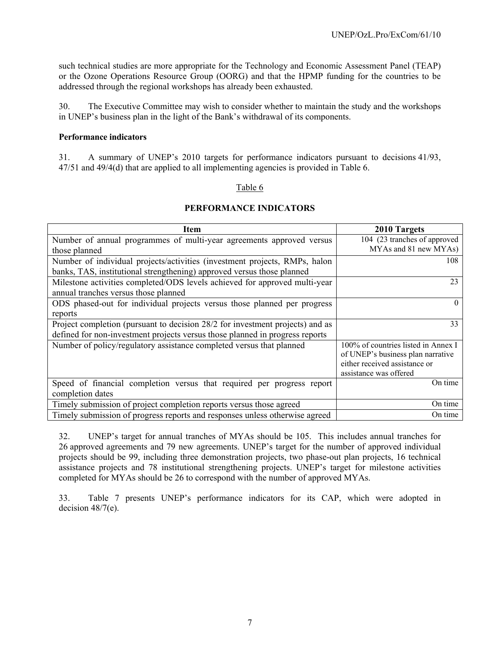such technical studies are more appropriate for the Technology and Economic Assessment Panel (TEAP) or the Ozone Operations Resource Group (OORG) and that the HPMP funding for the countries to be addressed through the regional workshops has already been exhausted.

30. The Executive Committee may wish to consider whether to maintain the study and the workshops in UNEP's business plan in the light of the Bank's withdrawal of its components.

#### **Performance indicators**

31. A summary of UNEP's 2010 targets for performance indicators pursuant to decisions 41/93, 47/51 and 49/4(d) that are applied to all implementing agencies is provided in Table 6.

#### Table 6

#### **PERFORMANCE INDICATORS**

| <b>Item</b>                                                                   | 2010 Targets                        |
|-------------------------------------------------------------------------------|-------------------------------------|
| Number of annual programmes of multi-year agreements approved versus          | 104 (23 tranches of approved        |
| those planned                                                                 | MYAs and 81 new MYAs)               |
| Number of individual projects/activities (investment projects, RMPs, halon    | 108                                 |
| banks, TAS, institutional strengthening) approved versus those planned        |                                     |
| Milestone activities completed/ODS levels achieved for approved multi-year    | 23                                  |
| annual tranches versus those planned                                          |                                     |
| ODS phased-out for individual projects versus those planned per progress      | $\Omega$                            |
| reports                                                                       |                                     |
| Project completion (pursuant to decision 28/2 for investment projects) and as | 33                                  |
| defined for non-investment projects versus those planned in progress reports  |                                     |
| Number of policy/regulatory assistance completed versus that planned          | 100% of countries listed in Annex I |
|                                                                               | of UNEP's business plan narrative   |
|                                                                               | either received assistance or       |
|                                                                               | assistance was offered              |
| Speed of financial completion versus that required per progress report        | On time                             |
| completion dates                                                              |                                     |
| Timely submission of project completion reports versus those agreed           | On time                             |
| Timely submission of progress reports and responses unless otherwise agreed   | On time                             |

32. UNEP's target for annual tranches of MYAs should be 105. This includes annual tranches for 26 approved agreements and 79 new agreements. UNEP's target for the number of approved individual projects should be 99, including three demonstration projects, two phase-out plan projects, 16 technical assistance projects and 78 institutional strengthening projects. UNEP's target for milestone activities completed for MYAs should be 26 to correspond with the number of approved MYAs.

33. Table 7 presents UNEP's performance indicators for its CAP, which were adopted in decision 48/7(e).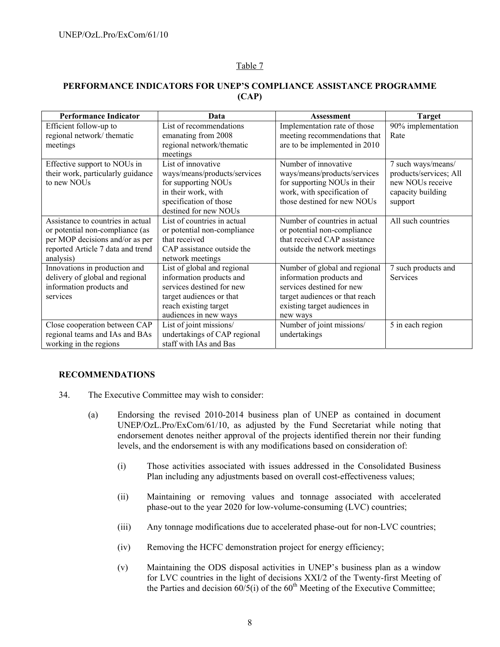### Table 7

### **PERFORMANCE INDICATORS FOR UNEP'S COMPLIANCE ASSISTANCE PROGRAMME (CAP)**

| <b>Performance Indicator</b>      | Data                         | Assessment                     | <b>Target</b>          |
|-----------------------------------|------------------------------|--------------------------------|------------------------|
| Efficient follow-up to            | List of recommendations      | Implementation rate of those   | 90% implementation     |
| regional network/thematic         | emanating from 2008          | meeting recommendations that   | Rate                   |
| meetings                          | regional network/thematic    | are to be implemented in 2010  |                        |
|                                   | meetings                     |                                |                        |
| Effective support to NOUs in      | List of innovative           | Number of innovative           | 7 such ways/means/     |
| their work, particularly guidance | ways/means/products/services | ways/means/products/services   | products/services; All |
| to new NOUs                       | for supporting NOUs          | for supporting NOUs in their   | new NOUs receive       |
|                                   | in their work, with          | work, with specification of    | capacity building      |
|                                   | specification of those       | those destined for new NOUs    | support                |
|                                   | destined for new NOUs        |                                |                        |
| Assistance to countries in actual | List of countries in actual  | Number of countries in actual  | All such countries     |
| or potential non-compliance (as   | or potential non-compliance  | or potential non-compliance    |                        |
| per MOP decisions and/or as per   | that received                | that received CAP assistance   |                        |
| reported Article 7 data and trend | CAP assistance outside the   | outside the network meetings   |                        |
| analysis)                         | network meetings             |                                |                        |
| Innovations in production and     | List of global and regional  | Number of global and regional  | 7 such products and    |
| delivery of global and regional   | information products and     | information products and       | <b>Services</b>        |
| information products and          | services destined for new    | services destined for new      |                        |
| services                          | target audiences or that     | target audiences or that reach |                        |
|                                   | reach existing target        | existing target audiences in   |                        |
|                                   | audiences in new ways        | new ways                       |                        |
| Close cooperation between CAP     | List of joint missions/      | Number of joint missions/      | 5 in each region       |
| regional teams and IAs and BAs    | undertakings of CAP regional | undertakings                   |                        |
| working in the regions            | staff with IAs and Bas       |                                |                        |

#### **RECOMMENDATIONS**

- 34. The Executive Committee may wish to consider:
	- (a) Endorsing the revised 2010-2014 business plan of UNEP as contained in document UNEP/OzL.Pro/ExCom/61/10, as adjusted by the Fund Secretariat while noting that endorsement denotes neither approval of the projects identified therein nor their funding levels, and the endorsement is with any modifications based on consideration of:
		- (i) Those activities associated with issues addressed in the Consolidated Business Plan including any adjustments based on overall cost-effectiveness values;
		- (ii) Maintaining or removing values and tonnage associated with accelerated phase-out to the year 2020 for low-volume-consuming (LVC) countries;
		- (iii) Any tonnage modifications due to accelerated phase-out for non-LVC countries;
		- (iv) Removing the HCFC demonstration project for energy efficiency;
		- (v) Maintaining the ODS disposal activities in UNEP's business plan as a window for LVC countries in the light of decisions XXI/2 of the Twenty-first Meeting of the Parties and decision  $60/5(i)$  of the  $60<sup>th</sup>$  Meeting of the Executive Committee;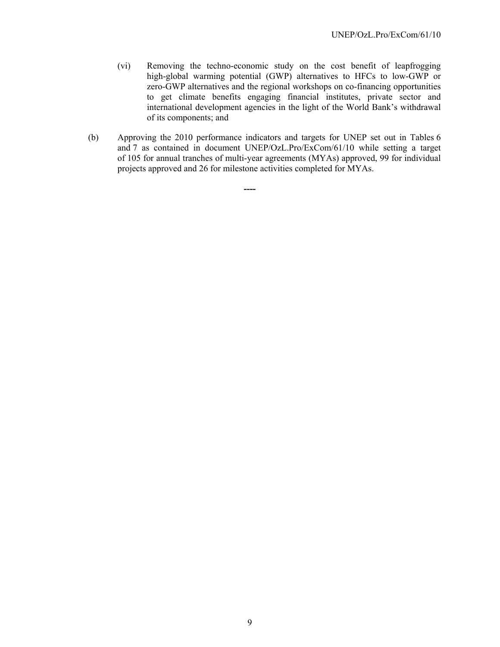- (vi) Removing the techno-economic study on the cost benefit of leapfrogging high-global warming potential (GWP) alternatives to HFCs to low-GWP or zero-GWP alternatives and the regional workshops on co-financing opportunities to get climate benefits engaging financial institutes, private sector and international development agencies in the light of the World Bank's withdrawal of its components; and
- (b) Approving the 2010 performance indicators and targets for UNEP set out in Tables 6 and 7 as contained in document UNEP/OzL.Pro/ExCom/61/10 while setting a target of 105 for annual tranches of multi-year agreements (MYAs) approved, 99 for individual projects approved and 26 for milestone activities completed for MYAs.

**----**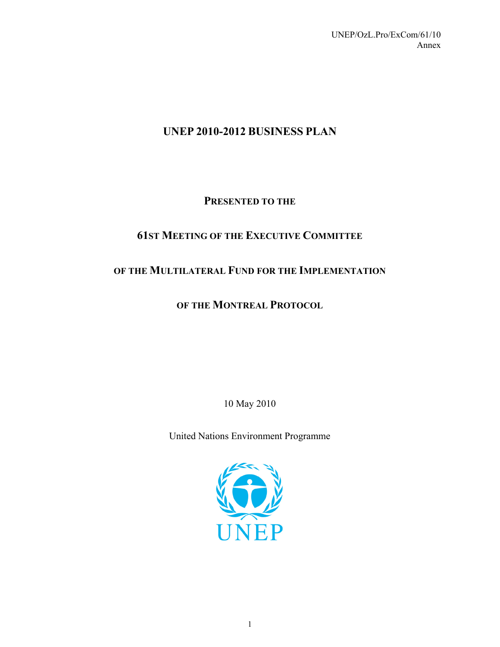# **UNEP 2010-2012 BUSINESS PLAN**

# **PRESENTED TO THE**

# **61ST MEETING OF THE EXECUTIVE COMMITTEE**

# **OF THE MULTILATERAL FUND FOR THE IMPLEMENTATION**

# **OF THE MONTREAL PROTOCOL**

10 May 2010

United Nations Environment Programme

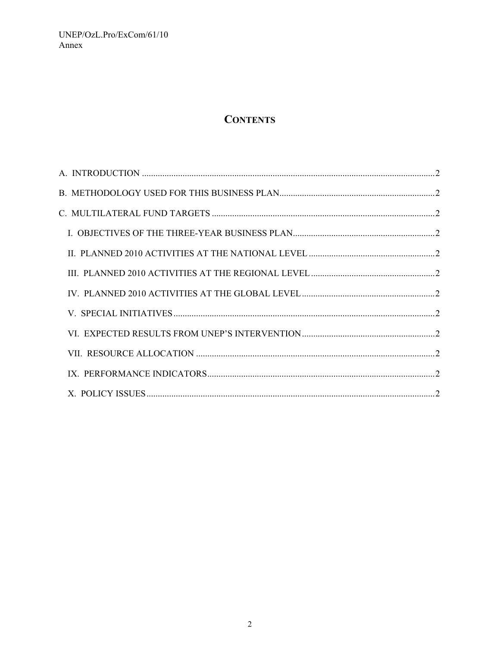# **CONTENTS**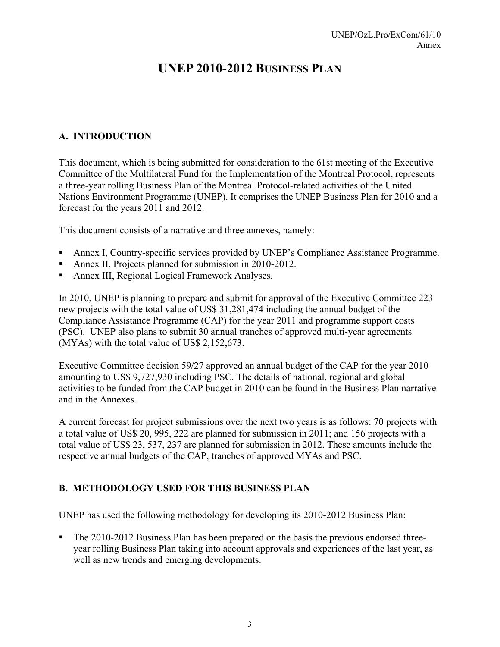# **UNEP 2010-2012 BUSINESS PLAN**

# **A. INTRODUCTION**

This document, which is being submitted for consideration to the 61st meeting of the Executive Committee of the Multilateral Fund for the Implementation of the Montreal Protocol, represents a three-year rolling Business Plan of the Montreal Protocol-related activities of the United Nations Environment Programme (UNEP). It comprises the UNEP Business Plan for 2010 and a forecast for the years 2011 and 2012.

This document consists of a narrative and three annexes, namely:

- Annex I, Country-specific services provided by UNEP's Compliance Assistance Programme.
- Annex II, Projects planned for submission in 2010-2012.
- Annex III, Regional Logical Framework Analyses.

In 2010, UNEP is planning to prepare and submit for approval of the Executive Committee 223 new projects with the total value of US\$ 31,281,474 including the annual budget of the Compliance Assistance Programme (CAP) for the year 2011 and programme support costs (PSC). UNEP also plans to submit 30 annual tranches of approved multi-year agreements (MYAs) with the total value of US\$ 2,152,673.

Executive Committee decision 59/27 approved an annual budget of the CAP for the year 2010 amounting to US\$ 9,727,930 including PSC. The details of national, regional and global activities to be funded from the CAP budget in 2010 can be found in the Business Plan narrative and in the Annexes.

A current forecast for project submissions over the next two years is as follows: 70 projects with a total value of US\$ 20, 995, 222 are planned for submission in 2011; and 156 projects with a total value of US\$ 23, 537, 237 are planned for submission in 2012. These amounts include the respective annual budgets of the CAP, tranches of approved MYAs and PSC.

### **B. METHODOLOGY USED FOR THIS BUSINESS PLAN**

UNEP has used the following methodology for developing its 2010-2012 Business Plan:

The 2010-2012 Business Plan has been prepared on the basis the previous endorsed threeyear rolling Business Plan taking into account approvals and experiences of the last year, as well as new trends and emerging developments.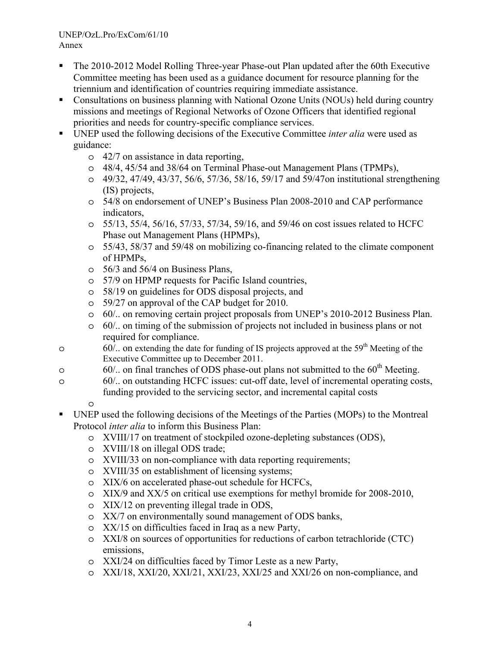- The 2010-2012 Model Rolling Three-year Phase-out Plan updated after the 60th Executive Committee meeting has been used as a guidance document for resource planning for the triennium and identification of countries requiring immediate assistance.
- Consultations on business planning with National Ozone Units (NOUs) held during country missions and meetings of Regional Networks of Ozone Officers that identified regional priorities and needs for country-specific compliance services.
- UNEP used the following decisions of the Executive Committee *inter alia* were used as guidance:
	- o 42/7 on assistance in data reporting,
	- o 48/4, 45/54 and 38/64 on Terminal Phase-out Management Plans (TPMPs),
	- o 49/32, 47/49, 43/37, 56/6, 57/36, 58/16, 59/17 and 59/47on institutional strengthening (IS) projects,
	- o 54/8 on endorsement of UNEP's Business Plan 2008-2010 and CAP performance indicators,
	- o 55/13, 55/4, 56/16, 57/33, 57/34, 59/16, and 59/46 on cost issues related to HCFC Phase out Management Plans (HPMPs),
	- o 55/43, 58/37 and 59/48 on mobilizing co-financing related to the climate component of HPMPs,
	- o 56/3 and 56/4 on Business Plans,
	- o 57/9 on HPMP requests for Pacific Island countries,
	- o 58/19 on guidelines for ODS disposal projects, and
	- o 59/27 on approval of the CAP budget for 2010.
	- o 60/.. on removing certain project proposals from UNEP's 2010-2012 Business Plan.
	- o 60/.. on timing of the submission of projects not included in business plans or not required for compliance.
- $\delta$  60/.. on extending the date for funding of IS projects approved at the 59<sup>th</sup> Meeting of the Executive Committee up to December 2011.
- $\circ$  60/.. on final tranches of ODS phase-out plans not submitted to the 60<sup>th</sup> Meeting.
- o 60/.. on outstanding HCFC issues: cut-off date, level of incremental operating costs, funding provided to the servicing sector, and incremental capital costs
	- o
- UNEP used the following decisions of the Meetings of the Parties (MOPs) to the Montreal Protocol *inter alia* to inform this Business Plan:
	- o XVIII/17 on treatment of stockpiled ozone-depleting substances (ODS),
	- o XVIII/18 on illegal ODS trade;
	- o XVIII/33 on non-compliance with data reporting requirements;
	- o XVIII/35 on establishment of licensing systems;
	- o XIX/6 on accelerated phase-out schedule for HCFCs,
	- o XIX/9 and XX/5 on critical use exemptions for methyl bromide for 2008-2010,
	- o XIX/12 on preventing illegal trade in ODS,
	- o XX/7 on environmentally sound management of ODS banks,
	- o XX/15 on difficulties faced in Iraq as a new Party,
	- o XXI/8 on sources of opportunities for reductions of carbon tetrachloride (CTC) emissions,
	- o XXI/24 on difficulties faced by Timor Leste as a new Party,
	- o XXI/18, XXI/20, XXI/21, XXI/23, XXI/25 and XXI/26 on non-compliance, and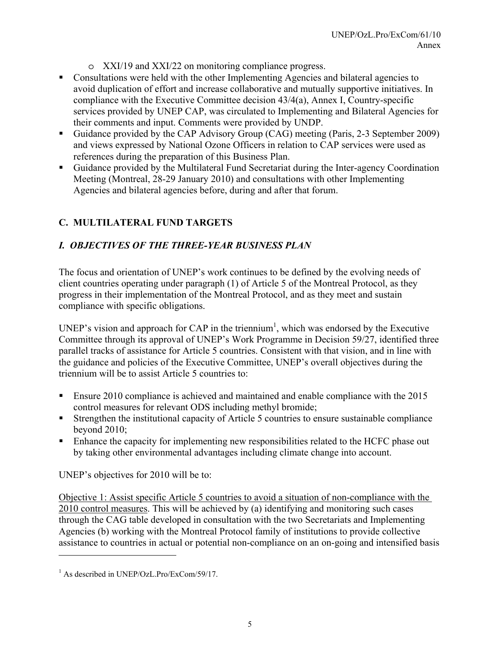- o XXI/19 and XXI/22 on monitoring compliance progress.
- Consultations were held with the other Implementing Agencies and bilateral agencies to avoid duplication of effort and increase collaborative and mutually supportive initiatives. In compliance with the Executive Committee decision 43/4(a), Annex I, Country-specific services provided by UNEP CAP, was circulated to Implementing and Bilateral Agencies for their comments and input. Comments were provided by UNDP.
- Guidance provided by the CAP Advisory Group (CAG) meeting (Paris, 2-3 September 2009) and views expressed by National Ozone Officers in relation to CAP services were used as references during the preparation of this Business Plan.
- Guidance provided by the Multilateral Fund Secretariat during the Inter-agency Coordination Meeting (Montreal, 28-29 January 2010) and consultations with other Implementing Agencies and bilateral agencies before, during and after that forum.

# **C. MULTILATERAL FUND TARGETS**

# *I. OBJECTIVES OF THE THREE-YEAR BUSINESS PLAN*

The focus and orientation of UNEP's work continues to be defined by the evolving needs of client countries operating under paragraph (1) of Article 5 of the Montreal Protocol, as they progress in their implementation of the Montreal Protocol, and as they meet and sustain compliance with specific obligations.

UNEP's vision and approach for CAP in the triennium<sup>1</sup>, which was endorsed by the Executive Committee through its approval of UNEP's Work Programme in Decision 59/27, identified three parallel tracks of assistance for Article 5 countries. Consistent with that vision, and in line with the guidance and policies of the Executive Committee, UNEP's overall objectives during the triennium will be to assist Article 5 countries to:

- Ensure 2010 compliance is achieved and maintained and enable compliance with the 2015 control measures for relevant ODS including methyl bromide;
- Strengthen the institutional capacity of Article 5 countries to ensure sustainable compliance beyond 2010;
- **Enhance the capacity for implementing new responsibilities related to the HCFC phase out** by taking other environmental advantages including climate change into account.

UNEP's objectives for 2010 will be to:

Objective 1: Assist specific Article 5 countries to avoid a situation of non-compliance with the 2010 control measures. This will be achieved by (a) identifying and monitoring such cases through the CAG table developed in consultation with the two Secretariats and Implementing Agencies (b) working with the Montreal Protocol family of institutions to provide collective assistance to countries in actual or potential non-compliance on an on-going and intensified basis

l

<sup>&</sup>lt;sup>1</sup> As described in UNEP/OzL.Pro/ExCom/59/17.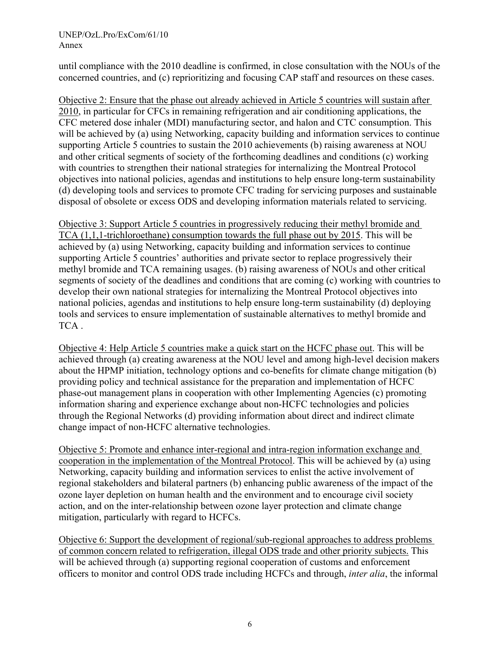until compliance with the 2010 deadline is confirmed, in close consultation with the NOUs of the concerned countries, and (c) reprioritizing and focusing CAP staff and resources on these cases.

Objective 2: Ensure that the phase out already achieved in Article 5 countries will sustain after 2010, in particular for CFCs in remaining refrigeration and air conditioning applications, the CFC metered dose inhaler (MDI) manufacturing sector, and halon and CTC consumption. This will be achieved by (a) using Networking, capacity building and information services to continue supporting Article 5 countries to sustain the 2010 achievements (b) raising awareness at NOU and other critical segments of society of the forthcoming deadlines and conditions (c) working with countries to strengthen their national strategies for internalizing the Montreal Protocol objectives into national policies, agendas and institutions to help ensure long-term sustainability (d) developing tools and services to promote CFC trading for servicing purposes and sustainable disposal of obsolete or excess ODS and developing information materials related to servicing.

Objective 3: Support Article 5 countries in progressively reducing their methyl bromide and TCA (1,1,1-trichloroethane) consumption towards the full phase out by 2015. This will be achieved by (a) using Networking, capacity building and information services to continue supporting Article 5 countries' authorities and private sector to replace progressively their methyl bromide and TCA remaining usages. (b) raising awareness of NOUs and other critical segments of society of the deadlines and conditions that are coming (c) working with countries to develop their own national strategies for internalizing the Montreal Protocol objectives into national policies, agendas and institutions to help ensure long-term sustainability (d) deploying tools and services to ensure implementation of sustainable alternatives to methyl bromide and TCA .

Objective 4: Help Article 5 countries make a quick start on the HCFC phase out. This will be achieved through (a) creating awareness at the NOU level and among high-level decision makers about the HPMP initiation, technology options and co-benefits for climate change mitigation (b) providing policy and technical assistance for the preparation and implementation of HCFC phase-out management plans in cooperation with other Implementing Agencies (c) promoting information sharing and experience exchange about non-HCFC technologies and policies through the Regional Networks (d) providing information about direct and indirect climate change impact of non-HCFC alternative technologies.

Objective 5: Promote and enhance inter-regional and intra-region information exchange and cooperation in the implementation of the Montreal Protocol. This will be achieved by (a) using Networking, capacity building and information services to enlist the active involvement of regional stakeholders and bilateral partners (b) enhancing public awareness of the impact of the ozone layer depletion on human health and the environment and to encourage civil society action, and on the inter-relationship between ozone layer protection and climate change mitigation, particularly with regard to HCFCs.

Objective 6: Support the development of regional/sub-regional approaches to address problems of common concern related to refrigeration, illegal ODS trade and other priority subjects. This will be achieved through (a) supporting regional cooperation of customs and enforcement officers to monitor and control ODS trade including HCFCs and through, *inter alia*, the informal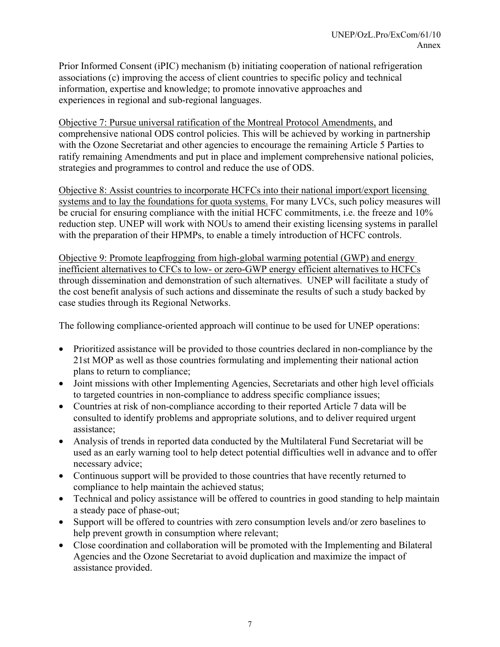Prior Informed Consent (iPIC) mechanism (b) initiating cooperation of national refrigeration associations (c) improving the access of client countries to specific policy and technical information, expertise and knowledge; to promote innovative approaches and experiences in regional and sub-regional languages.

Objective 7: Pursue universal ratification of the Montreal Protocol Amendments, and comprehensive national ODS control policies. This will be achieved by working in partnership with the Ozone Secretariat and other agencies to encourage the remaining Article 5 Parties to ratify remaining Amendments and put in place and implement comprehensive national policies, strategies and programmes to control and reduce the use of ODS.

Objective 8: Assist countries to incorporate HCFCs into their national import/export licensing systems and to lay the foundations for quota systems. For many LVCs, such policy measures will be crucial for ensuring compliance with the initial HCFC commitments, i.e. the freeze and 10% reduction step. UNEP will work with NOUs to amend their existing licensing systems in parallel with the preparation of their HPMPs, to enable a timely introduction of HCFC controls.

Objective 9: Promote leapfrogging from high-global warming potential (GWP) and energy inefficient alternatives to CFCs to low- or zero-GWP energy efficient alternatives to HCFCs through dissemination and demonstration of such alternatives. UNEP will facilitate a study of the cost benefit analysis of such actions and disseminate the results of such a study backed by case studies through its Regional Networks.

The following compliance-oriented approach will continue to be used for UNEP operations:

- Prioritized assistance will be provided to those countries declared in non-compliance by the 21st MOP as well as those countries formulating and implementing their national action plans to return to compliance;
- Joint missions with other Implementing Agencies, Secretariats and other high level officials to targeted countries in non-compliance to address specific compliance issues;
- Countries at risk of non-compliance according to their reported Article 7 data will be consulted to identify problems and appropriate solutions, and to deliver required urgent assistance;
- Analysis of trends in reported data conducted by the Multilateral Fund Secretariat will be used as an early warning tool to help detect potential difficulties well in advance and to offer necessary advice;
- Continuous support will be provided to those countries that have recently returned to compliance to help maintain the achieved status;
- Technical and policy assistance will be offered to countries in good standing to help maintain a steady pace of phase-out;
- Support will be offered to countries with zero consumption levels and/or zero baselines to help prevent growth in consumption where relevant;
- Close coordination and collaboration will be promoted with the Implementing and Bilateral Agencies and the Ozone Secretariat to avoid duplication and maximize the impact of assistance provided.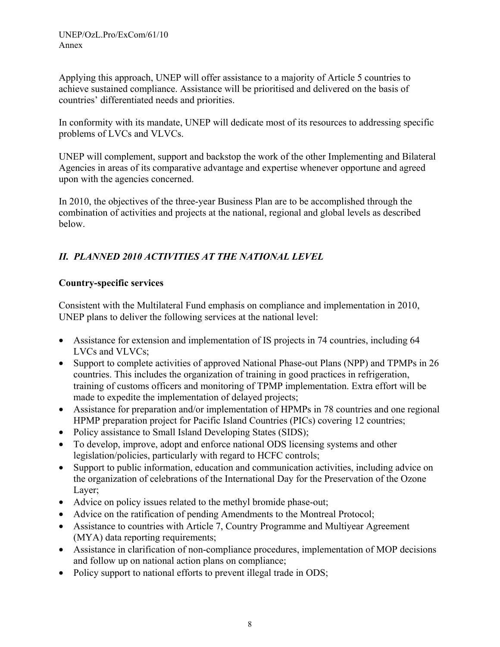Applying this approach, UNEP will offer assistance to a majority of Article 5 countries to achieve sustained compliance. Assistance will be prioritised and delivered on the basis of countries' differentiated needs and priorities.

In conformity with its mandate, UNEP will dedicate most of its resources to addressing specific problems of LVCs and VLVCs.

UNEP will complement, support and backstop the work of the other Implementing and Bilateral Agencies in areas of its comparative advantage and expertise whenever opportune and agreed upon with the agencies concerned.

In 2010, the objectives of the three-year Business Plan are to be accomplished through the combination of activities and projects at the national, regional and global levels as described below.

# *II. PLANNED 2010 ACTIVITIES AT THE NATIONAL LEVEL*

# **Country-specific services**

Consistent with the Multilateral Fund emphasis on compliance and implementation in 2010, UNEP plans to deliver the following services at the national level:

- Assistance for extension and implementation of IS projects in 74 countries, including 64 LVCs and VLVCs;
- Support to complete activities of approved National Phase-out Plans (NPP) and TPMPs in 26 countries. This includes the organization of training in good practices in refrigeration, training of customs officers and monitoring of TPMP implementation. Extra effort will be made to expedite the implementation of delayed projects;
- Assistance for preparation and/or implementation of HPMPs in 78 countries and one regional HPMP preparation project for Pacific Island Countries (PICs) covering 12 countries;
- Policy assistance to Small Island Developing States (SIDS);
- To develop, improve, adopt and enforce national ODS licensing systems and other legislation/policies, particularly with regard to HCFC controls;
- Support to public information, education and communication activities, including advice on the organization of celebrations of the International Day for the Preservation of the Ozone Layer;
- Advice on policy issues related to the methyl bromide phase-out;
- Advice on the ratification of pending Amendments to the Montreal Protocol;
- Assistance to countries with Article 7, Country Programme and Multiyear Agreement (MYA) data reporting requirements;
- Assistance in clarification of non-compliance procedures, implementation of MOP decisions and follow up on national action plans on compliance;
- Policy support to national efforts to prevent illegal trade in ODS;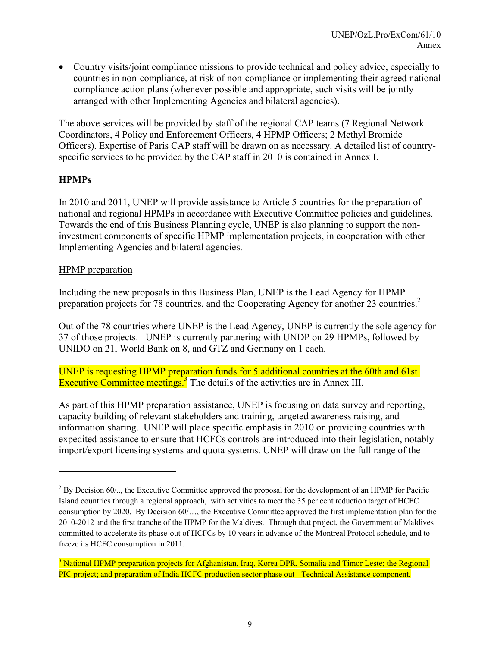• Country visits/joint compliance missions to provide technical and policy advice, especially to countries in non-compliance, at risk of non-compliance or implementing their agreed national compliance action plans (whenever possible and appropriate, such visits will be jointly arranged with other Implementing Agencies and bilateral agencies).

The above services will be provided by staff of the regional CAP teams (7 Regional Network Coordinators, 4 Policy and Enforcement Officers, 4 HPMP Officers; 2 Methyl Bromide Officers). Expertise of Paris CAP staff will be drawn on as necessary. A detailed list of countryspecific services to be provided by the CAP staff in 2010 is contained in Annex I.

### **HPMPs**

l

In 2010 and 2011, UNEP will provide assistance to Article 5 countries for the preparation of national and regional HPMPs in accordance with Executive Committee policies and guidelines. Towards the end of this Business Planning cycle, UNEP is also planning to support the noninvestment components of specific HPMP implementation projects, in cooperation with other Implementing Agencies and bilateral agencies.

### HPMP preparation

Including the new proposals in this Business Plan, UNEP is the Lead Agency for HPMP preparation projects for 78 countries, and the Cooperating Agency for another 23 countries.<sup>2</sup>

Out of the 78 countries where UNEP is the Lead Agency, UNEP is currently the sole agency for 37 of those projects. UNEP is currently partnering with UNDP on 29 HPMPs, followed by UNIDO on 21, World Bank on 8, and GTZ and Germany on 1 each.

UNEP is requesting HPMP preparation funds for 5 additional countries at the 60th and 61st Executive Committee meetings.<sup>3</sup> The details of the activities are in Annex III.

As part of this HPMP preparation assistance, UNEP is focusing on data survey and reporting, capacity building of relevant stakeholders and training, targeted awareness raising, and information sharing. UNEP will place specific emphasis in 2010 on providing countries with expedited assistance to ensure that HCFCs controls are introduced into their legislation, notably import/export licensing systems and quota systems. UNEP will draw on the full range of the

 $2^2$  By Decision 60/.., the Executive Committee approved the proposal for the development of an HPMP for Pacific Island countries through a regional approach, with activities to meet the 35 per cent reduction target of HCFC consumption by 2020, By Decision 60/…, the Executive Committee approved the first implementation plan for the 2010-2012 and the first tranche of the HPMP for the Maldives. Through that project, the Government of Maldives committed to accelerate its phase-out of HCFCs by 10 years in advance of the Montreal Protocol schedule, and to freeze its HCFC consumption in 2011.

<sup>&</sup>lt;sup>3</sup> National HPMP preparation projects for Afghanistan, Iraq, Korea DPR, Somalia and Timor Leste; the Regional PIC project; and preparation of India HCFC production sector phase out - Technical Assistance component.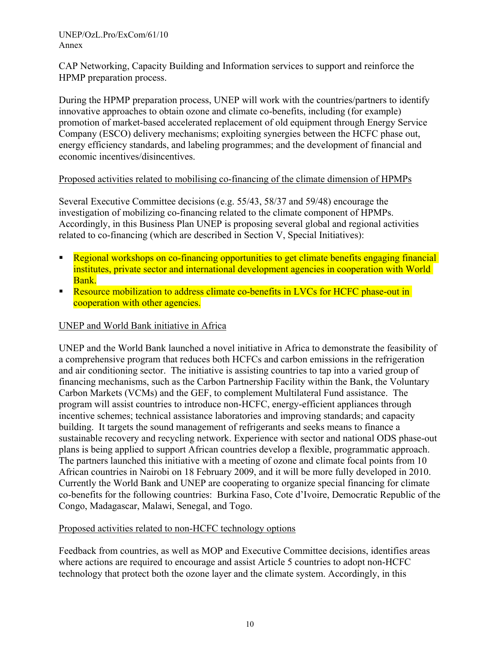CAP Networking, Capacity Building and Information services to support and reinforce the HPMP preparation process.

During the HPMP preparation process, UNEP will work with the countries/partners to identify innovative approaches to obtain ozone and climate co-benefits, including (for example) promotion of market-based accelerated replacement of old equipment through Energy Service Company (ESCO) delivery mechanisms; exploiting synergies between the HCFC phase out, energy efficiency standards, and labeling programmes; and the development of financial and economic incentives/disincentives.

### Proposed activities related to mobilising co-financing of the climate dimension of HPMPs

Several Executive Committee decisions (e.g. 55/43, 58/37 and 59/48) encourage the investigation of mobilizing co-financing related to the climate component of HPMPs. Accordingly, in this Business Plan UNEP is proposing several global and regional activities related to co-financing (which are described in Section V, Special Initiatives):

- Regional workshops on co-financing opportunities to get climate benefits engaging financial institutes, private sector and international development agencies in cooperation with World Bank.
- **Resource mobilization to address climate co-benefits in LVCs for HCFC phase-out in** cooperation with other agencies.

### UNEP and World Bank initiative in Africa

UNEP and the World Bank launched a novel initiative in Africa to demonstrate the feasibility of a comprehensive program that reduces both HCFCs and carbon emissions in the refrigeration and air conditioning sector. The initiative is assisting countries to tap into a varied group of financing mechanisms, such as the Carbon Partnership Facility within the Bank, the Voluntary Carbon Markets (VCMs) and the GEF, to complement Multilateral Fund assistance. The program will assist countries to introduce non-HCFC, energy-efficient appliances through incentive schemes; technical assistance laboratories and improving standards; and capacity building. It targets the sound management of refrigerants and seeks means to finance a sustainable recovery and recycling network. Experience with sector and national ODS phase-out plans is being applied to support African countries develop a flexible, programmatic approach. The partners launched this initiative with a meeting of ozone and climate focal points from 10 African countries in Nairobi on 18 February 2009, and it will be more fully developed in 2010. Currently the World Bank and UNEP are cooperating to organize special financing for climate co-benefits for the following countries: Burkina Faso, Cote d'Ivoire, Democratic Republic of the Congo, Madagascar, Malawi, Senegal, and Togo.

### Proposed activities related to non-HCFC technology options

Feedback from countries, as well as MOP and Executive Committee decisions, identifies areas where actions are required to encourage and assist Article 5 countries to adopt non-HCFC technology that protect both the ozone layer and the climate system. Accordingly, in this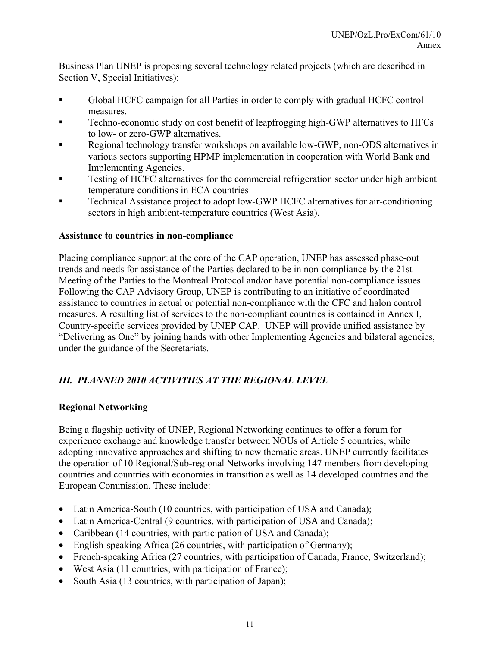Business Plan UNEP is proposing several technology related projects (which are described in Section V, Special Initiatives):

- Global HCFC campaign for all Parties in order to comply with gradual HCFC control measures.
- Techno-economic study on cost benefit of leapfrogging high-GWP alternatives to HFCs to low- or zero-GWP alternatives.
- Regional technology transfer workshops on available low-GWP, non-ODS alternatives in various sectors supporting HPMP implementation in cooperation with World Bank and Implementing Agencies.
- Testing of HCFC alternatives for the commercial refrigeration sector under high ambient temperature conditions in ECA countries
- Technical Assistance project to adopt low-GWP HCFC alternatives for air-conditioning sectors in high ambient-temperature countries (West Asia).

### **Assistance to countries in non-compliance**

Placing compliance support at the core of the CAP operation, UNEP has assessed phase-out trends and needs for assistance of the Parties declared to be in non-compliance by the 21st Meeting of the Parties to the Montreal Protocol and/or have potential non-compliance issues. Following the CAP Advisory Group, UNEP is contributing to an initiative of coordinated assistance to countries in actual or potential non-compliance with the CFC and halon control measures. A resulting list of services to the non-compliant countries is contained in Annex I, Country-specific services provided by UNEP CAP. UNEP will provide unified assistance by "Delivering as One" by joining hands with other Implementing Agencies and bilateral agencies, under the guidance of the Secretariats.

# *III. PLANNED 2010 ACTIVITIES AT THE REGIONAL LEVEL*

### **Regional Networking**

Being a flagship activity of UNEP, Regional Networking continues to offer a forum for experience exchange and knowledge transfer between NOUs of Article 5 countries, while adopting innovative approaches and shifting to new thematic areas. UNEP currently facilitates the operation of 10 Regional/Sub-regional Networks involving 147 members from developing countries and countries with economies in transition as well as 14 developed countries and the European Commission. These include:

- Latin America-South (10 countries, with participation of USA and Canada);
- Latin America-Central (9 countries, with participation of USA and Canada);
- Caribbean (14 countries, with participation of USA and Canada);
- English-speaking Africa (26 countries, with participation of Germany);
- French-speaking Africa (27 countries, with participation of Canada, France, Switzerland);
- West Asia (11 countries, with participation of France);
- South Asia (13 countries, with participation of Japan);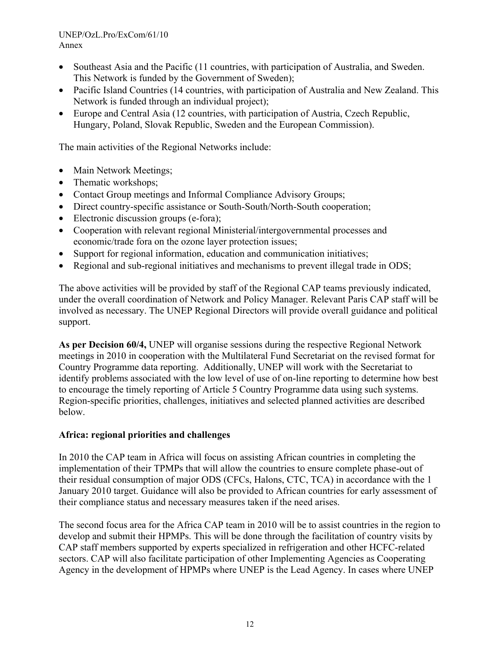- Southeast Asia and the Pacific (11 countries, with participation of Australia, and Sweden. This Network is funded by the Government of Sweden);
- Pacific Island Countries (14 countries, with participation of Australia and New Zealand. This Network is funded through an individual project);
- Europe and Central Asia (12 countries, with participation of Austria, Czech Republic, Hungary, Poland, Slovak Republic, Sweden and the European Commission).

The main activities of the Regional Networks include:

- Main Network Meetings;
- Thematic workshops;
- Contact Group meetings and Informal Compliance Advisory Groups;
- Direct country-specific assistance or South-South/North-South cooperation;
- Electronic discussion groups (e-fora);
- Cooperation with relevant regional Ministerial/intergovernmental processes and economic/trade fora on the ozone layer protection issues;
- Support for regional information, education and communication initiatives;
- Regional and sub-regional initiatives and mechanisms to prevent illegal trade in ODS;

The above activities will be provided by staff of the Regional CAP teams previously indicated, under the overall coordination of Network and Policy Manager. Relevant Paris CAP staff will be involved as necessary. The UNEP Regional Directors will provide overall guidance and political support.

**As per Decision 60/4,** UNEP will organise sessions during the respective Regional Network meetings in 2010 in cooperation with the Multilateral Fund Secretariat on the revised format for Country Programme data reporting. Additionally, UNEP will work with the Secretariat to identify problems associated with the low level of use of on-line reporting to determine how best to encourage the timely reporting of Article 5 Country Programme data using such systems. Region-specific priorities, challenges, initiatives and selected planned activities are described below.

### **Africa: regional priorities and challenges**

In 2010 the CAP team in Africa will focus on assisting African countries in completing the implementation of their TPMPs that will allow the countries to ensure complete phase-out of their residual consumption of major ODS (CFCs, Halons, CTC, TCA) in accordance with the 1 January 2010 target. Guidance will also be provided to African countries for early assessment of their compliance status and necessary measures taken if the need arises.

The second focus area for the Africa CAP team in 2010 will be to assist countries in the region to develop and submit their HPMPs. This will be done through the facilitation of country visits by CAP staff members supported by experts specialized in refrigeration and other HCFC-related sectors. CAP will also facilitate participation of other Implementing Agencies as Cooperating Agency in the development of HPMPs where UNEP is the Lead Agency. In cases where UNEP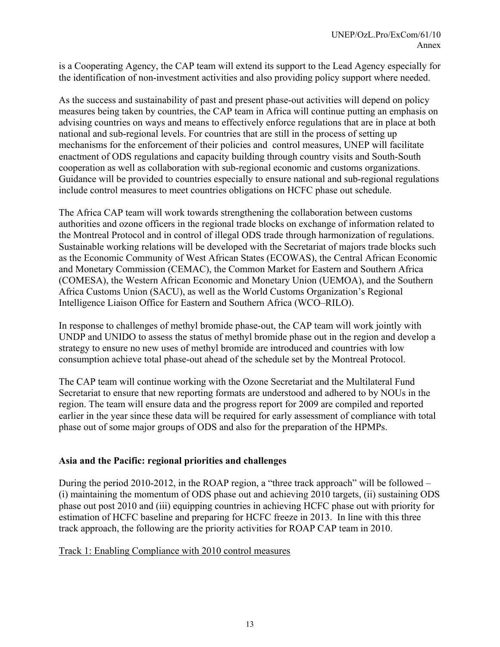is a Cooperating Agency, the CAP team will extend its support to the Lead Agency especially for the identification of non-investment activities and also providing policy support where needed.

As the success and sustainability of past and present phase-out activities will depend on policy measures being taken by countries, the CAP team in Africa will continue putting an emphasis on advising countries on ways and means to effectively enforce regulations that are in place at both national and sub-regional levels. For countries that are still in the process of setting up mechanisms for the enforcement of their policies and control measures, UNEP will facilitate enactment of ODS regulations and capacity building through country visits and South-South cooperation as well as collaboration with sub-regional economic and customs organizations. Guidance will be provided to countries especially to ensure national and sub-regional regulations include control measures to meet countries obligations on HCFC phase out schedule.

The Africa CAP team will work towards strengthening the collaboration between customs authorities and ozone officers in the regional trade blocks on exchange of information related to the Montreal Protocol and in control of illegal ODS trade through harmonization of regulations. Sustainable working relations will be developed with the Secretariat of majors trade blocks such as the Economic Community of West African States (ECOWAS), the Central African Economic and Monetary Commission (CEMAC), the Common Market for Eastern and Southern Africa (COMESA), the Western African Economic and Monetary Union (UEMOA), and the Southern Africa Customs Union (SACU), as well as the World Customs Organization's Regional Intelligence Liaison Office for Eastern and Southern Africa (WCO–RILO).

In response to challenges of methyl bromide phase-out, the CAP team will work jointly with UNDP and UNIDO to assess the status of methyl bromide phase out in the region and develop a strategy to ensure no new uses of methyl bromide are introduced and countries with low consumption achieve total phase-out ahead of the schedule set by the Montreal Protocol.

The CAP team will continue working with the Ozone Secretariat and the Multilateral Fund Secretariat to ensure that new reporting formats are understood and adhered to by NOUs in the region. The team will ensure data and the progress report for 2009 are compiled and reported earlier in the year since these data will be required for early assessment of compliance with total phase out of some major groups of ODS and also for the preparation of the HPMPs.

### **Asia and the Pacific: regional priorities and challenges**

During the period 2010-2012, in the ROAP region, a "three track approach" will be followed – (i) maintaining the momentum of ODS phase out and achieving 2010 targets, (ii) sustaining ODS phase out post 2010 and (iii) equipping countries in achieving HCFC phase out with priority for estimation of HCFC baseline and preparing for HCFC freeze in 2013. In line with this three track approach, the following are the priority activities for ROAP CAP team in 2010.

### Track 1: Enabling Compliance with 2010 control measures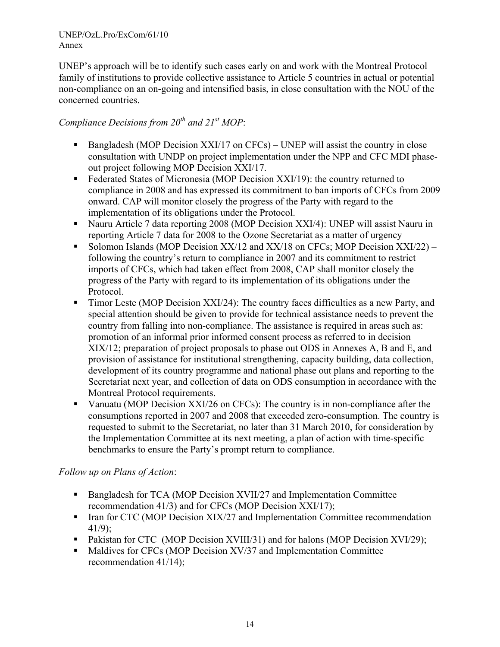UNEP's approach will be to identify such cases early on and work with the Montreal Protocol family of institutions to provide collective assistance to Article 5 countries in actual or potential non-compliance on an on-going and intensified basis, in close consultation with the NOU of the concerned countries.

# *Compliance Decisions from 20th and 21st MOP*:

- Bangladesh (MOP Decision XXI/17 on CFCs) UNEP will assist the country in close consultation with UNDP on project implementation under the NPP and CFC MDI phaseout project following MOP Decision XXI/17.
- Federated States of Micronesia (MOP Decision XXI/19): the country returned to compliance in 2008 and has expressed its commitment to ban imports of CFCs from 2009 onward. CAP will monitor closely the progress of the Party with regard to the implementation of its obligations under the Protocol.
- Nauru Article 7 data reporting 2008 (MOP Decision XXI/4): UNEP will assist Nauru in reporting Article 7 data for 2008 to the Ozone Secretariat as a matter of urgency
- Solomon Islands (MOP Decision  $XX/12$  and  $XX/18$  on CFCs; MOP Decision  $XXI/22$ ) following the country's return to compliance in 2007 and its commitment to restrict imports of CFCs, which had taken effect from 2008, CAP shall monitor closely the progress of the Party with regard to its implementation of its obligations under the Protocol.
- Timor Leste (MOP Decision XXI/24): The country faces difficulties as a new Party, and special attention should be given to provide for technical assistance needs to prevent the country from falling into non-compliance. The assistance is required in areas such as: promotion of an informal prior informed consent process as referred to in decision XIX/12; preparation of project proposals to phase out ODS in Annexes A, B and E, and provision of assistance for institutional strengthening, capacity building, data collection, development of its country programme and national phase out plans and reporting to the Secretariat next year, and collection of data on ODS consumption in accordance with the Montreal Protocol requirements.
- Vanuatu (MOP Decision XXI/26 on CFCs): The country is in non-compliance after the consumptions reported in 2007 and 2008 that exceeded zero-consumption. The country is requested to submit to the Secretariat, no later than 31 March 2010, for consideration by the Implementation Committee at its next meeting, a plan of action with time-specific benchmarks to ensure the Party's prompt return to compliance.

### *Follow up on Plans of Action*:

- Bangladesh for TCA (MOP Decision XVII/27 and Implementation Committee recommendation 41/3) and for CFCs (MOP Decision XXI/17);
- Iran for CTC (MOP Decision XIX/27 and Implementation Committee recommendation 41/9);
- Pakistan for CTC (MOP Decision XVIII/31) and for halons (MOP Decision XVI/29);
- Maldives for CFCs (MOP Decision XV/37 and Implementation Committee recommendation 41/14);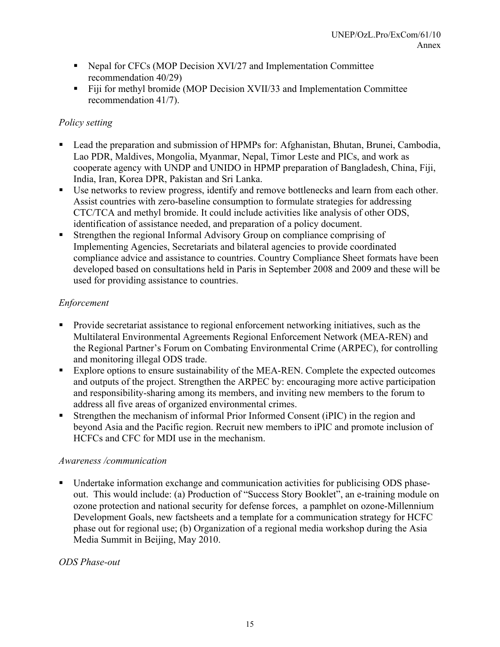- Nepal for CFCs (MOP Decision XVI/27 and Implementation Committee recommendation 40/29)
- Fiji for methyl bromide (MOP Decision XVII/33 and Implementation Committee recommendation 41/7).

## *Policy setting*

- Lead the preparation and submission of HPMPs for: Afghanistan, Bhutan, Brunei, Cambodia, Lao PDR, Maldives, Mongolia, Myanmar, Nepal, Timor Leste and PICs, and work as cooperate agency with UNDP and UNIDO in HPMP preparation of Bangladesh, China, Fiji, India, Iran, Korea DPR, Pakistan and Sri Lanka.
- Use networks to review progress, identify and remove bottlenecks and learn from each other. Assist countries with zero-baseline consumption to formulate strategies for addressing CTC/TCA and methyl bromide. It could include activities like analysis of other ODS, identification of assistance needed, and preparation of a policy document.
- Strengthen the regional Informal Advisory Group on compliance comprising of Implementing Agencies, Secretariats and bilateral agencies to provide coordinated compliance advice and assistance to countries. Country Compliance Sheet formats have been developed based on consultations held in Paris in September 2008 and 2009 and these will be used for providing assistance to countries.

# *Enforcement*

- Provide secretariat assistance to regional enforcement networking initiatives, such as the Multilateral Environmental Agreements Regional Enforcement Network (MEA-REN) and the Regional Partner's Forum on Combating Environmental Crime (ARPEC), for controlling and monitoring illegal ODS trade.
- Explore options to ensure sustainability of the MEA-REN. Complete the expected outcomes and outputs of the project. Strengthen the ARPEC by: encouraging more active participation and responsibility-sharing among its members, and inviting new members to the forum to address all five areas of organized environmental crimes.
- Strengthen the mechanism of informal Prior Informed Consent (iPIC) in the region and beyond Asia and the Pacific region. Recruit new members to iPIC and promote inclusion of HCFCs and CFC for MDI use in the mechanism.

### *Awareness /communication*

 Undertake information exchange and communication activities for publicising ODS phaseout. This would include: (a) Production of "Success Story Booklet", an e-training module on ozone protection and national security for defense forces, a pamphlet on ozone-Millennium Development Goals, new factsheets and a template for a communication strategy for HCFC phase out for regional use; (b) Organization of a regional media workshop during the Asia Media Summit in Beijing, May 2010.

# *ODS Phase-out*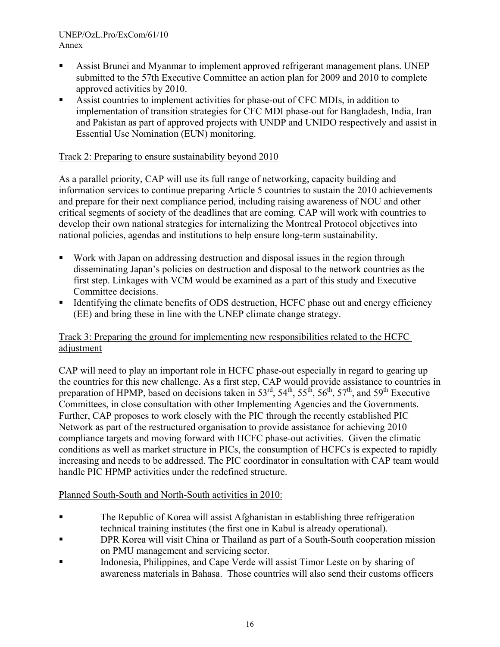- Assist Brunei and Myanmar to implement approved refrigerant management plans. UNEP submitted to the 57th Executive Committee an action plan for 2009 and 2010 to complete approved activities by 2010.
- Assist countries to implement activities for phase-out of CFC MDIs, in addition to implementation of transition strategies for CFC MDI phase-out for Bangladesh, India, Iran and Pakistan as part of approved projects with UNDP and UNIDO respectively and assist in Essential Use Nomination (EUN) monitoring.

### Track 2: Preparing to ensure sustainability beyond 2010

As a parallel priority, CAP will use its full range of networking, capacity building and information services to continue preparing Article 5 countries to sustain the 2010 achievements and prepare for their next compliance period, including raising awareness of NOU and other critical segments of society of the deadlines that are coming. CAP will work with countries to develop their own national strategies for internalizing the Montreal Protocol objectives into national policies, agendas and institutions to help ensure long-term sustainability.

- Work with Japan on addressing destruction and disposal issues in the region through disseminating Japan's policies on destruction and disposal to the network countries as the first step. Linkages with VCM would be examined as a part of this study and Executive Committee decisions.
- Identifying the climate benefits of ODS destruction, HCFC phase out and energy efficiency (EE) and bring these in line with the UNEP climate change strategy.

### Track 3: Preparing the ground for implementing new responsibilities related to the HCFC adjustment

CAP will need to play an important role in HCFC phase-out especially in regard to gearing up the countries for this new challenge. As a first step, CAP would provide assistance to countries in preparation of HPMP, based on decisions taken in  $53<sup>rd</sup>$ ,  $54<sup>th</sup>$ ,  $55<sup>th</sup>$ ,  $56<sup>th</sup>$ ,  $57<sup>th</sup>$ , and  $59<sup>th</sup>$  Executive Committees, in close consultation with other Implementing Agencies and the Governments. Further, CAP proposes to work closely with the PIC through the recently established PIC Network as part of the restructured organisation to provide assistance for achieving 2010 compliance targets and moving forward with HCFC phase-out activities. Given the climatic conditions as well as market structure in PICs, the consumption of HCFCs is expected to rapidly increasing and needs to be addressed. The PIC coordinator in consultation with CAP team would handle PIC HPMP activities under the redefined structure.

### Planned South-South and North-South activities in 2010:

- The Republic of Korea will assist Afghanistan in establishing three refrigeration technical training institutes (the first one in Kabul is already operational).
- DPR Korea will visit China or Thailand as part of a South-South cooperation mission on PMU management and servicing sector.
- Indonesia, Philippines, and Cape Verde will assist Timor Leste on by sharing of awareness materials in Bahasa. Those countries will also send their customs officers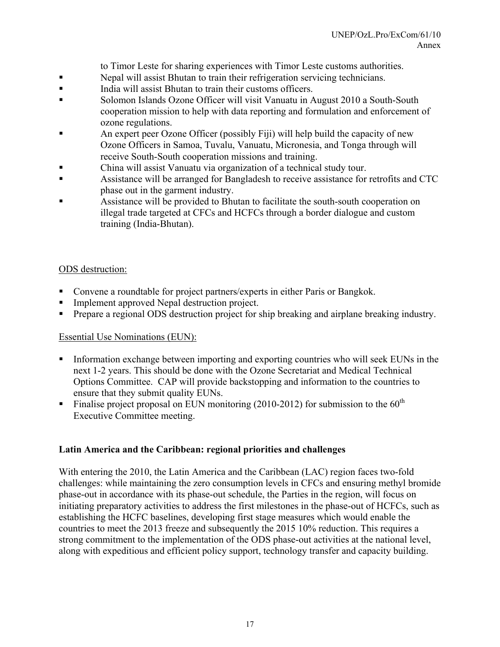to Timor Leste for sharing experiences with Timor Leste customs authorities.

- Nepal will assist Bhutan to train their refrigeration servicing technicians.
- India will assist Bhutan to train their customs officers.
- Solomon Islands Ozone Officer will visit Vanuatu in August 2010 a South-South cooperation mission to help with data reporting and formulation and enforcement of ozone regulations.
- An expert peer Ozone Officer (possibly Fiji) will help build the capacity of new Ozone Officers in Samoa, Tuvalu, Vanuatu, Micronesia, and Tonga through will receive South-South cooperation missions and training.
- China will assist Vanuatu via organization of a technical study tour.
- Assistance will be arranged for Bangladesh to receive assistance for retrofits and CTC phase out in the garment industry.
- Assistance will be provided to Bhutan to facilitate the south-south cooperation on illegal trade targeted at CFCs and HCFCs through a border dialogue and custom training (India-Bhutan).

### ODS destruction:

- Convene a roundtable for project partners/experts in either Paris or Bangkok.
- Implement approved Nepal destruction project.
- Prepare a regional ODS destruction project for ship breaking and airplane breaking industry.

### Essential Use Nominations (EUN):

- Information exchange between importing and exporting countries who will seek EUNs in the next 1-2 years. This should be done with the Ozone Secretariat and Medical Technical Options Committee. CAP will provide backstopping and information to the countries to ensure that they submit quality EUNs.
- Finalise project proposal on EUN monitoring (2010-2012) for submission to the  $60<sup>th</sup>$ Executive Committee meeting.

# **Latin America and the Caribbean: regional priorities and challenges**

With entering the 2010, the Latin America and the Caribbean (LAC) region faces two-fold challenges: while maintaining the zero consumption levels in CFCs and ensuring methyl bromide phase-out in accordance with its phase-out schedule, the Parties in the region, will focus on initiating preparatory activities to address the first milestones in the phase-out of HCFCs, such as establishing the HCFC baselines, developing first stage measures which would enable the countries to meet the 2013 freeze and subsequently the 2015 10% reduction. This requires a strong commitment to the implementation of the ODS phase-out activities at the national level, along with expeditious and efficient policy support, technology transfer and capacity building.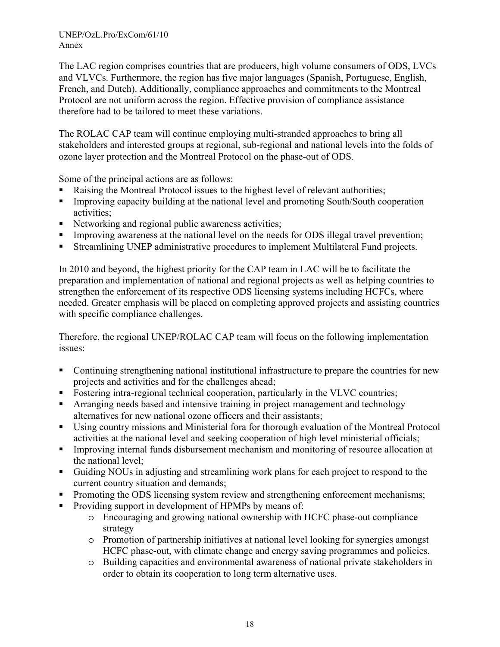The LAC region comprises countries that are producers, high volume consumers of ODS, LVCs and VLVCs. Furthermore, the region has five major languages (Spanish, Portuguese, English, French, and Dutch). Additionally, compliance approaches and commitments to the Montreal Protocol are not uniform across the region. Effective provision of compliance assistance therefore had to be tailored to meet these variations.

The ROLAC CAP team will continue employing multi-stranded approaches to bring all stakeholders and interested groups at regional, sub-regional and national levels into the folds of ozone layer protection and the Montreal Protocol on the phase-out of ODS.

Some of the principal actions are as follows:

- Raising the Montreal Protocol issues to the highest level of relevant authorities;
- Improving capacity building at the national level and promoting South/South cooperation activities;
- Networking and regional public awareness activities;
- Improving awareness at the national level on the needs for ODS illegal travel prevention;
- Streamlining UNEP administrative procedures to implement Multilateral Fund projects.

In 2010 and beyond, the highest priority for the CAP team in LAC will be to facilitate the preparation and implementation of national and regional projects as well as helping countries to strengthen the enforcement of its respective ODS licensing systems including HCFCs, where needed. Greater emphasis will be placed on completing approved projects and assisting countries with specific compliance challenges.

Therefore, the regional UNEP/ROLAC CAP team will focus on the following implementation issues:

- Continuing strengthening national institutional infrastructure to prepare the countries for new projects and activities and for the challenges ahead;
- Fostering intra-regional technical cooperation, particularly in the VLVC countries;
- Arranging needs based and intensive training in project management and technology alternatives for new national ozone officers and their assistants;
- Using country missions and Ministerial fora for thorough evaluation of the Montreal Protocol activities at the national level and seeking cooperation of high level ministerial officials;
- Improving internal funds disbursement mechanism and monitoring of resource allocation at the national level;
- Guiding NOUs in adjusting and streamlining work plans for each project to respond to the current country situation and demands;
- Promoting the ODS licensing system review and strengthening enforcement mechanisms;
- Providing support in development of HPMPs by means of:
	- o Encouraging and growing national ownership with HCFC phase-out compliance strategy
	- o Promotion of partnership initiatives at national level looking for synergies amongst HCFC phase-out, with climate change and energy saving programmes and policies.
	- o Building capacities and environmental awareness of national private stakeholders in order to obtain its cooperation to long term alternative uses.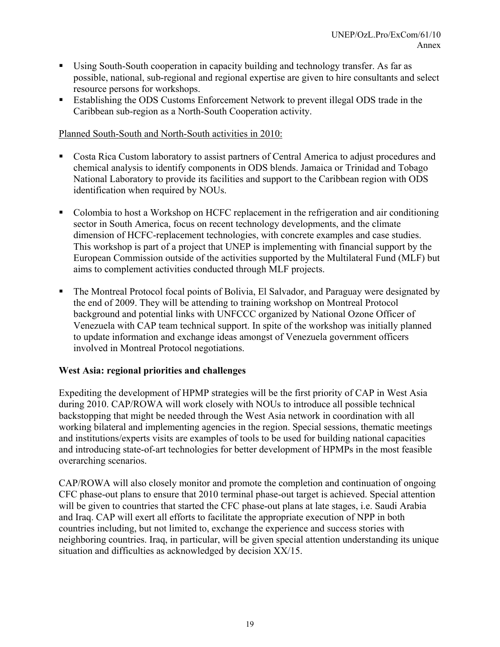- Using South-South cooperation in capacity building and technology transfer. As far as possible, national, sub-regional and regional expertise are given to hire consultants and select resource persons for workshops.
- Establishing the ODS Customs Enforcement Network to prevent illegal ODS trade in the Caribbean sub-region as a North-South Cooperation activity.

### Planned South-South and North-South activities in 2010:

- Costa Rica Custom laboratory to assist partners of Central America to adjust procedures and chemical analysis to identify components in ODS blends. Jamaica or Trinidad and Tobago National Laboratory to provide its facilities and support to the Caribbean region with ODS identification when required by NOUs.
- Colombia to host a Workshop on HCFC replacement in the refrigeration and air conditioning sector in South America, focus on recent technology developments, and the climate dimension of HCFC-replacement technologies, with concrete examples and case studies. This workshop is part of a project that UNEP is implementing with financial support by the European Commission outside of the activities supported by the Multilateral Fund (MLF) but aims to complement activities conducted through MLF projects.
- The Montreal Protocol focal points of Bolivia, El Salvador, and Paraguay were designated by the end of 2009. They will be attending to training workshop on Montreal Protocol background and potential links with UNFCCC organized by National Ozone Officer of Venezuela with CAP team technical support. In spite of the workshop was initially planned to update information and exchange ideas amongst of Venezuela government officers involved in Montreal Protocol negotiations.

### **West Asia: regional priorities and challenges**

Expediting the development of HPMP strategies will be the first priority of CAP in West Asia during 2010. CAP/ROWA will work closely with NOUs to introduce all possible technical backstopping that might be needed through the West Asia network in coordination with all working bilateral and implementing agencies in the region. Special sessions, thematic meetings and institutions/experts visits are examples of tools to be used for building national capacities and introducing state-of-art technologies for better development of HPMPs in the most feasible overarching scenarios.

CAP/ROWA will also closely monitor and promote the completion and continuation of ongoing CFC phase-out plans to ensure that 2010 terminal phase-out target is achieved. Special attention will be given to countries that started the CFC phase-out plans at late stages, i.e. Saudi Arabia and Iraq. CAP will exert all efforts to facilitate the appropriate execution of NPP in both countries including, but not limited to, exchange the experience and success stories with neighboring countries. Iraq, in particular, will be given special attention understanding its unique situation and difficulties as acknowledged by decision XX/15.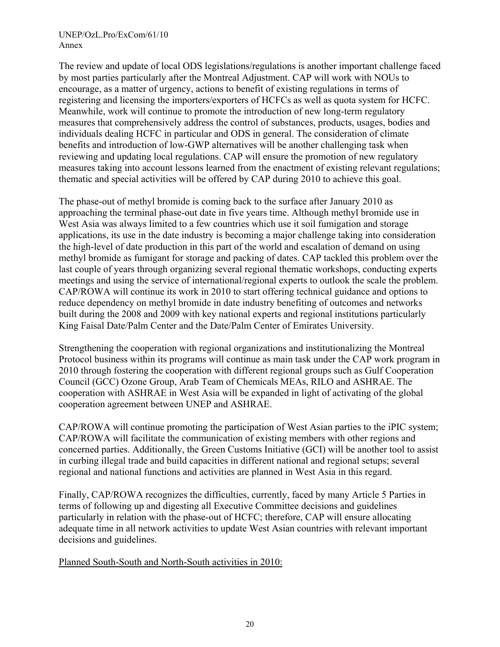The review and update of local ODS legislations/regulations is another important challenge faced by most parties particularly after the Montreal Adjustment. CAP will work with NOUs to encourage, as a matter of urgency, actions to benefit of existing regulations in terms of registering and licensing the importers/exporters of HCFCs as well as quota system for HCFC. Meanwhile, work will continue to promote the introduction of new long-term regulatory measures that comprehensively address the control of substances, products, usages, bodies and individuals dealing HCFC in particular and ODS in general. The consideration of climate benefits and introduction of low-GWP alternatives will be another challenging task when reviewing and updating local regulations. CAP will ensure the promotion of new regulatory measures taking into account lessons learned from the enactment of existing relevant regulations; thematic and special activities will be offered by CAP during 2010 to achieve this goal.

The phase-out of methyl bromide is coming back to the surface after January 2010 as approaching the terminal phase-out date in five years time. Although methyl bromide use in West Asia was always limited to a few countries which use it soil fumigation and storage applications, its use in the date industry is becoming a major challenge taking into consideration the high-level of date production in this part of the world and escalation of demand on using methyl bromide as fumigant for storage and packing of dates. CAP tackled this problem over the last couple of years through organizing several regional thematic workshops, conducting experts meetings and using the service of international/regional experts to outlook the scale the problem. CAP/ROWA will continue its work in 2010 to start offering technical guidance and options to reduce dependency on methyl bromide in date industry benefiting of outcomes and networks built during the 2008 and 2009 with key national experts and regional institutions particularly King Faisal Date/Palm Center and the Date/Palm Center of Emirates University.

Strengthening the cooperation with regional organizations and institutionalizing the Montreal Protocol business within its programs will continue as main task under the CAP work program in 2010 through fostering the cooperation with different regional groups such as Gulf Cooperation Council (GCC) Ozone Group, Arab Team of Chemicals MEAs, RILO and ASHRAE. The cooperation with ASHRAE in West Asia will be expanded in light of activating of the global cooperation agreement between UNEP and ASHRAE.

CAP/ROWA will continue promoting the participation of West Asian parties to the iPIC system; CAP/ROWA will facilitate the communication of existing members with other regions and concerned parties. Additionally, the Green Customs Initiative (GCI) will be another tool to assist in curbing illegal trade and build capacities in different national and regional setups; several regional and national functions and activities are planned in West Asia in this regard.

Finally, CAP/ROWA recognizes the difficulties, currently, faced by many Article 5 Parties in terms of following up and digesting all Executive Committee decisions and guidelines particularly in relation with the phase-out of HCFC; therefore, CAP will ensure allocating adequate time in all network activities to update West Asian countries with relevant important decisions and guidelines.

Planned South-South and North-South activities in 2010: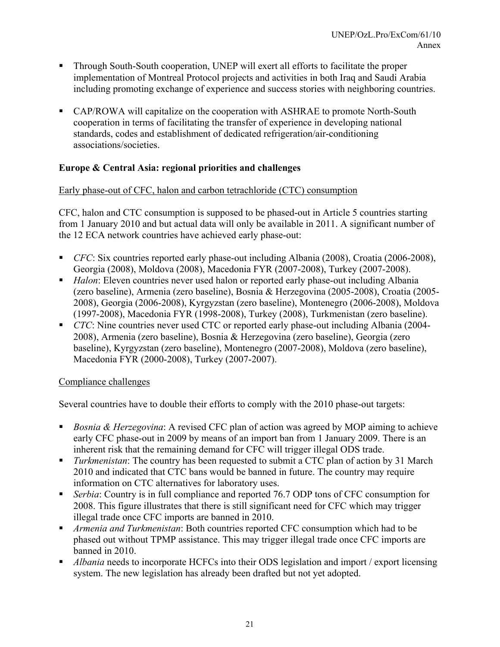- Through South-South cooperation, UNEP will exert all efforts to facilitate the proper implementation of Montreal Protocol projects and activities in both Iraq and Saudi Arabia including promoting exchange of experience and success stories with neighboring countries.
- CAP/ROWA will capitalize on the cooperation with ASHRAE to promote North-South cooperation in terms of facilitating the transfer of experience in developing national standards, codes and establishment of dedicated refrigeration/air-conditioning associations/societies.

### **Europe & Central Asia: regional priorities and challenges**

### Early phase-out of CFC, halon and carbon tetrachloride (CTC) consumption

CFC, halon and CTC consumption is supposed to be phased-out in Article 5 countries starting from 1 January 2010 and but actual data will only be available in 2011. A significant number of the 12 ECA network countries have achieved early phase-out:

- *CFC*: Six countries reported early phase-out including Albania (2008), Croatia (2006-2008), Georgia (2008), Moldova (2008), Macedonia FYR (2007-2008), Turkey (2007-2008).
- *Halon*: Eleven countries never used halon or reported early phase-out including Albania (zero baseline), Armenia (zero baseline), Bosnia & Herzegovina (2005-2008), Croatia (2005- 2008), Georgia (2006-2008), Kyrgyzstan (zero baseline), Montenegro (2006-2008), Moldova (1997-2008), Macedonia FYR (1998-2008), Turkey (2008), Turkmenistan (zero baseline).
- *CTC*: Nine countries never used CTC or reported early phase-out including Albania (2004– 2008), Armenia (zero baseline), Bosnia & Herzegovina (zero baseline), Georgia (zero baseline), Kyrgyzstan (zero baseline), Montenegro (2007-2008), Moldova (zero baseline), Macedonia FYR (2000-2008), Turkey (2007-2007).

### Compliance challenges

Several countries have to double their efforts to comply with the 2010 phase-out targets:

- *Bosnia & Herzegovina*: A revised CFC plan of action was agreed by MOP aiming to achieve early CFC phase-out in 2009 by means of an import ban from 1 January 2009. There is an inherent risk that the remaining demand for CFC will trigger illegal ODS trade.
- *Turkmenistan*: The country has been requested to submit a CTC plan of action by 31 March 2010 and indicated that CTC bans would be banned in future. The country may require information on CTC alternatives for laboratory uses.
- *Serbia*: Country is in full compliance and reported 76.7 ODP tons of CFC consumption for 2008. This figure illustrates that there is still significant need for CFC which may trigger illegal trade once CFC imports are banned in 2010.
- *Armenia and Turkmenistan*: Both countries reported CFC consumption which had to be phased out without TPMP assistance. This may trigger illegal trade once CFC imports are banned in 2010.
- *Albania* needs to incorporate HCFCs into their ODS legislation and import / export licensing system. The new legislation has already been drafted but not yet adopted.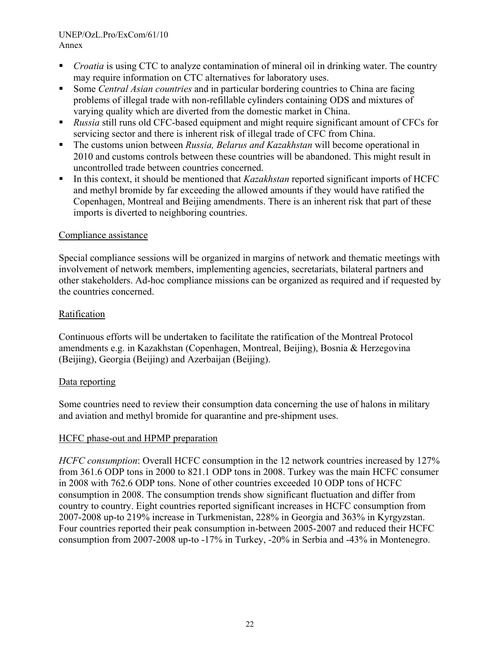- *Croatia* is using CTC to analyze contamination of mineral oil in drinking water. The country may require information on CTC alternatives for laboratory uses.
- Some *Central Asian countries* and in particular bordering countries to China are facing problems of illegal trade with non-refillable cylinders containing ODS and mixtures of varying quality which are diverted from the domestic market in China.
- *Russia* still runs old CFC-based equipment and might require significant amount of CFCs for servicing sector and there is inherent risk of illegal trade of CFC from China.
- The customs union between *Russia, Belarus and Kazakhstan* will become operational in 2010 and customs controls between these countries will be abandoned. This might result in uncontrolled trade between countries concerned.
- In this context, it should be mentioned that *Kazakhstan* reported significant imports of HCFC and methyl bromide by far exceeding the allowed amounts if they would have ratified the Copenhagen, Montreal and Beijing amendments. There is an inherent risk that part of these imports is diverted to neighboring countries.

### Compliance assistance

Special compliance sessions will be organized in margins of network and thematic meetings with involvement of network members, implementing agencies, secretariats, bilateral partners and other stakeholders. Ad-hoc compliance missions can be organized as required and if requested by the countries concerned.

### **Ratification**

Continuous efforts will be undertaken to facilitate the ratification of the Montreal Protocol amendments e.g. in Kazakhstan (Copenhagen, Montreal, Beijing), Bosnia & Herzegovina (Beijing), Georgia (Beijing) and Azerbaijan (Beijing).

### Data reporting

Some countries need to review their consumption data concerning the use of halons in military and aviation and methyl bromide for quarantine and pre-shipment uses.

### HCFC phase-out and HPMP preparation

*HCFC consumption*: Overall HCFC consumption in the 12 network countries increased by 127% from 361.6 ODP tons in 2000 to 821.1 ODP tons in 2008. Turkey was the main HCFC consumer in 2008 with 762.6 ODP tons. None of other countries exceeded 10 ODP tons of HCFC consumption in 2008. The consumption trends show significant fluctuation and differ from country to country. Eight countries reported significant increases in HCFC consumption from 2007-2008 up-to 219% increase in Turkmenistan, 228% in Georgia and 363% in Kyrgyzstan. Four countries reported their peak consumption in-between 2005-2007 and reduced their HCFC consumption from 2007-2008 up-to -17% in Turkey, -20% in Serbia and -43% in Montenegro.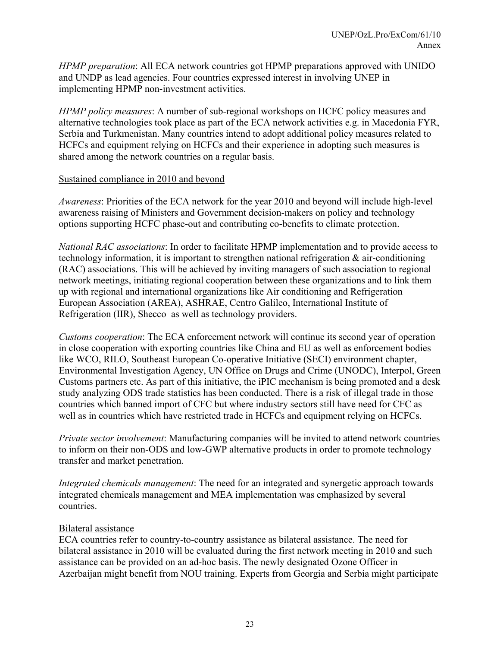*HPMP preparation*: All ECA network countries got HPMP preparations approved with UNIDO and UNDP as lead agencies. Four countries expressed interest in involving UNEP in implementing HPMP non-investment activities.

*HPMP policy measures*: A number of sub-regional workshops on HCFC policy measures and alternative technologies took place as part of the ECA network activities e.g. in Macedonia FYR, Serbia and Turkmenistan. Many countries intend to adopt additional policy measures related to HCFCs and equipment relying on HCFCs and their experience in adopting such measures is shared among the network countries on a regular basis.

### Sustained compliance in 2010 and beyond

*Awareness*: Priorities of the ECA network for the year 2010 and beyond will include high-level awareness raising of Ministers and Government decision-makers on policy and technology options supporting HCFC phase-out and contributing co-benefits to climate protection.

*National RAC associations*: In order to facilitate HPMP implementation and to provide access to technology information, it is important to strengthen national refrigeration & air-conditioning (RAC) associations. This will be achieved by inviting managers of such association to regional network meetings, initiating regional cooperation between these organizations and to link them up with regional and international organizations like Air conditioning and Refrigeration European Association (AREA), ASHRAE, Centro Galileo, International Institute of Refrigeration (IIR), Shecco as well as technology providers.

*Customs cooperation*: The ECA enforcement network will continue its second year of operation in close cooperation with exporting countries like China and EU as well as enforcement bodies like WCO, RILO, Southeast European Co-operative Initiative (SECI) environment chapter, Environmental Investigation Agency, UN Office on Drugs and Crime (UNODC), Interpol, Green Customs partners etc. As part of this initiative, the iPIC mechanism is being promoted and a desk study analyzing ODS trade statistics has been conducted. There is a risk of illegal trade in those countries which banned import of CFC but where industry sectors still have need for CFC as well as in countries which have restricted trade in HCFCs and equipment relying on HCFCs.

*Private sector involvement*: Manufacturing companies will be invited to attend network countries to inform on their non-ODS and low-GWP alternative products in order to promote technology transfer and market penetration.

*Integrated chemicals management*: The need for an integrated and synergetic approach towards integrated chemicals management and MEA implementation was emphasized by several countries.

### Bilateral assistance

ECA countries refer to country-to-country assistance as bilateral assistance. The need for bilateral assistance in 2010 will be evaluated during the first network meeting in 2010 and such assistance can be provided on an ad-hoc basis. The newly designated Ozone Officer in Azerbaijan might benefit from NOU training. Experts from Georgia and Serbia might participate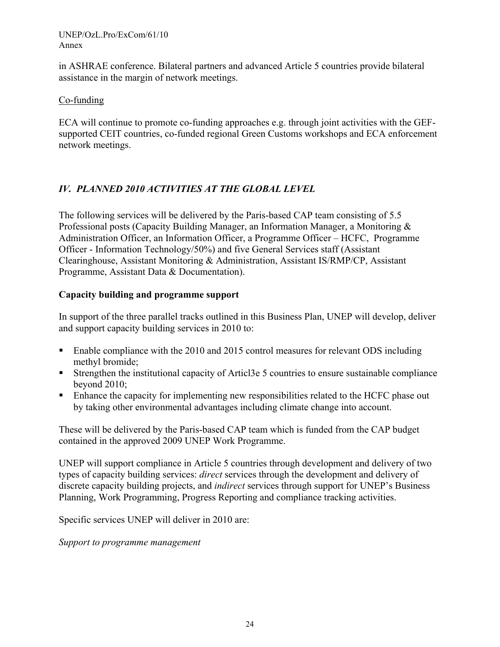in ASHRAE conference. Bilateral partners and advanced Article 5 countries provide bilateral assistance in the margin of network meetings.

### Co-funding

ECA will continue to promote co-funding approaches e.g. through joint activities with the GEFsupported CEIT countries, co-funded regional Green Customs workshops and ECA enforcement network meetings.

### *IV. PLANNED 2010 ACTIVITIES AT THE GLOBAL LEVEL*

The following services will be delivered by the Paris-based CAP team consisting of 5.5 Professional posts (Capacity Building Manager, an Information Manager, a Monitoring & Administration Officer, an Information Officer, a Programme Officer – HCFC, Programme Officer - Information Technology/50%) and five General Services staff (Assistant Clearinghouse, Assistant Monitoring & Administration, Assistant IS/RMP/CP, Assistant Programme, Assistant Data & Documentation).

### **Capacity building and programme support**

In support of the three parallel tracks outlined in this Business Plan, UNEP will develop, deliver and support capacity building services in 2010 to:

- Enable compliance with the 2010 and 2015 control measures for relevant ODS including methyl bromide;
- Strengthen the institutional capacity of Articl3e 5 countries to ensure sustainable compliance beyond 2010;
- **Enhance the capacity for implementing new responsibilities related to the HCFC phase out** by taking other environmental advantages including climate change into account.

These will be delivered by the Paris-based CAP team which is funded from the CAP budget contained in the approved 2009 UNEP Work Programme.

UNEP will support compliance in Article 5 countries through development and delivery of two types of capacity building services: *direct* services through the development and delivery of discrete capacity building projects, and *indirect* services through support for UNEP's Business Planning, Work Programming, Progress Reporting and compliance tracking activities.

Specific services UNEP will deliver in 2010 are:

*Support to programme management*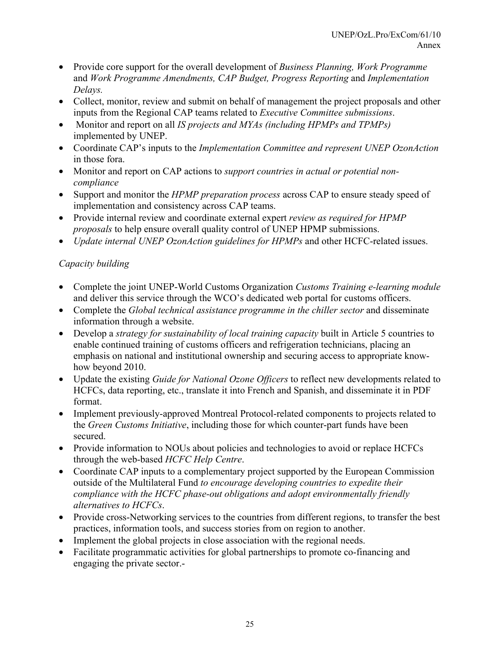- Provide core support for the overall development of *Business Planning, Work Programme*  and *Work Programme Amendments, CAP Budget, Progress Reporting* and *Implementation Delays.*
- Collect, monitor, review and submit on behalf of management the project proposals and other inputs from the Regional CAP teams related to *Executive Committee submissions*.
- Monitor and report on all *IS projects and MYAs (including HPMPs and TPMPs)*  implemented by UNEP.
- Coordinate CAP's inputs to the *Implementation Committee and represent UNEP OzonAction*  in those fora.
- Monitor and report on CAP actions to *support countries in actual or potential noncompliance*
- Support and monitor the *HPMP preparation process* across CAP to ensure steady speed of implementation and consistency across CAP teams.
- Provide internal review and coordinate external expert *review as required for HPMP proposals* to help ensure overall quality control of UNEP HPMP submissions.
- *Update internal UNEP OzonAction guidelines for HPMPs* and other HCFC-related issues.

# *Capacity building*

- Complete the joint UNEP-World Customs Organization *Customs Training e-learning module*  and deliver this service through the WCO's dedicated web portal for customs officers.
- Complete the *Global technical assistance programme in the chiller sector* and disseminate information through a website.
- Develop a *strategy for sustainability of local training capacity* built in Article 5 countries to enable continued training of customs officers and refrigeration technicians, placing an emphasis on national and institutional ownership and securing access to appropriate knowhow beyond 2010.
- Update the existing *Guide for National Ozone Officers* to reflect new developments related to HCFCs, data reporting, etc., translate it into French and Spanish, and disseminate it in PDF format.
- Implement previously-approved Montreal Protocol-related components to projects related to the *Green Customs Initiative*, including those for which counter-part funds have been secured.
- Provide information to NOUs about policies and technologies to avoid or replace HCFCs through the web-based *HCFC Help Centre*.
- Coordinate CAP inputs to a complementary project supported by the European Commission outside of the Multilateral Fund *to encourage developing countries to expedite their compliance with the HCFC phase-out obligations and adopt environmentally friendly alternatives to HCFCs*.
- Provide cross-Networking services to the countries from different regions, to transfer the best practices, information tools, and success stories from on region to another.
- Implement the global projects in close association with the regional needs.
- Facilitate programmatic activities for global partnerships to promote co-financing and engaging the private sector.-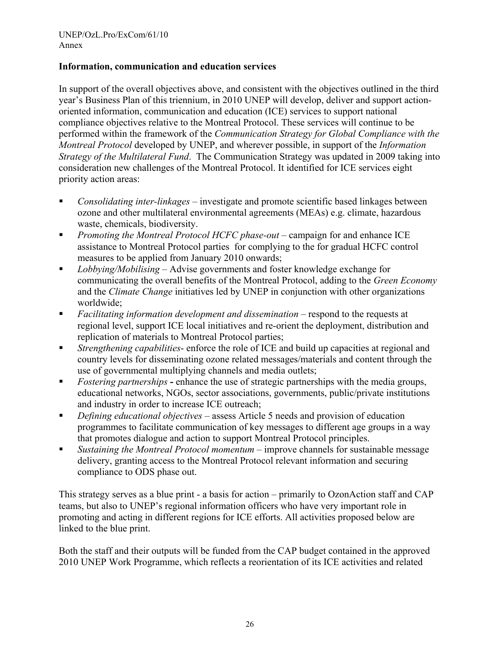### **Information, communication and education services**

In support of the overall objectives above, and consistent with the objectives outlined in the third year's Business Plan of this triennium, in 2010 UNEP will develop, deliver and support actionoriented information, communication and education (ICE) services to support national compliance objectives relative to the Montreal Protocol. These services will continue to be performed within the framework of the *Communication Strategy for Global Compliance with the Montreal Protocol* developed by UNEP, and wherever possible, in support of the *Information Strategy of the Multilateral Fund*. The Communication Strategy was updated in 2009 taking into consideration new challenges of the Montreal Protocol. It identified for ICE services eight priority action areas:

- *Consolidating inter-linkages* investigate and promote scientific based linkages between ozone and other multilateral environmental agreements (MEAs) e.g. climate, hazardous waste, chemicals, biodiversity.
- *Promoting the Montreal Protocol HCFC phase-out* campaign for and enhance ICE assistance to Montreal Protocol parties for complying to the for gradual HCFC control measures to be applied from January 2010 onwards;
- *Lobbying/Mobilising* Advise governments and foster knowledge exchange for communicating the overall benefits of the Montreal Protocol, adding to the *Green Economy*  and the *Climate Change* initiatives led by UNEP in conjunction with other organizations worldwide;
- *Facilitating information development and dissemination* respond to the requests at regional level, support ICE local initiatives and re-orient the deployment, distribution and replication of materials to Montreal Protocol parties;
- *Strengthening capabilities* enforce the role of ICE and build up capacities at regional and country levels for disseminating ozone related messages/materials and content through the use of governmental multiplying channels and media outlets;
- **Fostering partnerships** enhance the use of strategic partnerships with the media groups, educational networks, NGOs, sector associations, governments, public/private institutions and industry in order to increase ICE outreach;
- *Defining educational objectives* assess Article 5 needs and provision of education programmes to facilitate communication of key messages to different age groups in a way that promotes dialogue and action to support Montreal Protocol principles.
- *Sustaining the Montreal Protocol momentum* improve channels for sustainable message delivery, granting access to the Montreal Protocol relevant information and securing compliance to ODS phase out.

This strategy serves as a blue print - a basis for action – primarily to OzonAction staff and CAP teams, but also to UNEP's regional information officers who have very important role in promoting and acting in different regions for ICE efforts. All activities proposed below are linked to the blue print.

Both the staff and their outputs will be funded from the CAP budget contained in the approved 2010 UNEP Work Programme, which reflects a reorientation of its ICE activities and related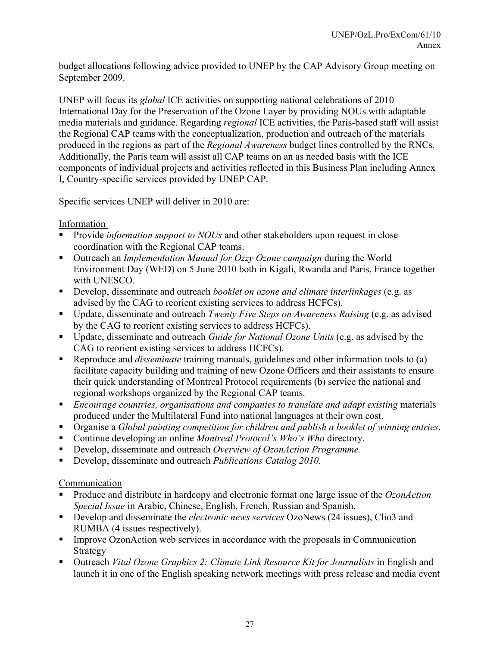budget allocations following advice provided to UNEP by the CAP Advisory Group meeting on September 2009.

UNEP will focus its *global* ICE activities on supporting national celebrations of 2010 International Day for the Preservation of the Ozone Layer by providing NOUs with adaptable media materials and guidance. Regarding *regional* ICE activities, the Paris-based staff will assist the Regional CAP teams with the conceptualization, production and outreach of the materials produced in the regions as part of the *Regional Awareness* budget lines controlled by the RNCs. Additionally, the Paris team will assist all CAP teams on an as needed basis with the ICE components of individual projects and activities reflected in this Business Plan including Annex I, Country-specific services provided by UNEP CAP.

Specific services UNEP will deliver in 2010 are:

Information

- **Provide** *information support to NOUs* and other stakeholders upon request in close coordination with the Regional CAP teams.
- Outreach an *Implementation Manual for Ozzy Ozone campaign* during the World Environment Day (WED) on 5 June 2010 both in Kigali, Rwanda and Paris, France together with UNESCO
- Develop, disseminate and outreach *booklet on ozone and climate interlinkages* (e.g. as advised by the CAG to reorient existing services to address HCFCs).
- Update, disseminate and outreach *Twenty Five Steps on Awareness Raising* (e.g. as advised by the CAG to reorient existing services to address HCFCs).
- Update, disseminate and outreach *Guide for National Ozone Units* (e.g. as advised by the CAG to reorient existing services to address HCFCs).
- Reproduce and *disseminate* training manuals, guidelines and other information tools to (a) facilitate capacity building and training of new Ozone Officers and their assistants to ensure their quick understanding of Montreal Protocol requirements (b) service the national and regional workshops organized by the Regional CAP teams.
- *Encourage countries, organisations and companies to translate and adapt existing* materials produced under the Multilateral Fund into national languages at their own cost.
- Organise a *Global painting competition for children and publish a booklet of winning entries*.
- Continue developing an online *Montreal Protocol's Who's Who* directory.
- Develop, disseminate and outreach *Overview of OzonAction Programme*.
- Develop, disseminate and outreach *Publications Catalog 2010*.

Communication

- Produce and distribute in hardcopy and electronic format one large issue of the *OzonAction Special Issue* in Arabic, Chinese, English, French, Russian and Spanish.
- Develop and disseminate the *electronic news services* OzoNews (24 issues), Clio3 and RUMBA (4 issues respectively).
- Improve OzonAction web services in accordance with the proposals in Communication Strategy
- Outreach *Vital Ozone Graphics 2: Climate Link Resource Kit for Journalists* in English and launch it in one of the English speaking network meetings with press release and media event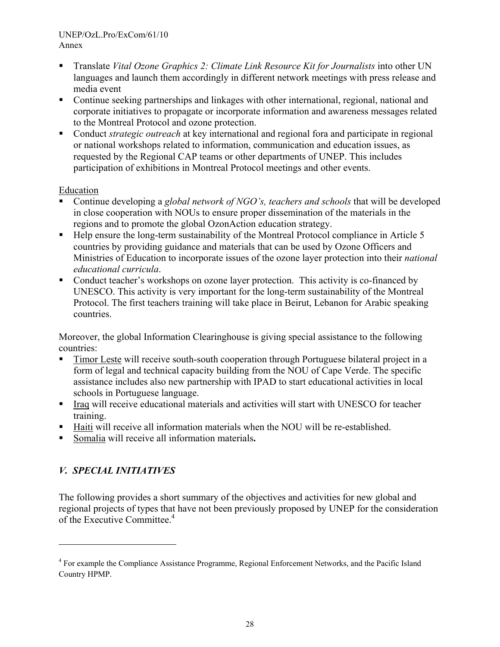- Translate *Vital Ozone Graphics 2: Climate Link Resource Kit for Journalists* into other UN languages and launch them accordingly in different network meetings with press release and media event
- Continue seeking partnerships and linkages with other international, regional, national and corporate initiatives to propagate or incorporate information and awareness messages related to the Montreal Protocol and ozone protection.
- Conduct *strategic outreach* at key international and regional fora and participate in regional or national workshops related to information, communication and education issues, as requested by the Regional CAP teams or other departments of UNEP. This includes participation of exhibitions in Montreal Protocol meetings and other events.

### Education

- Continue developing a *global network of NGO's, teachers and schools* that will be developed in close cooperation with NOUs to ensure proper dissemination of the materials in the regions and to promote the global OzonAction education strategy.
- Help ensure the long-term sustainability of the Montreal Protocol compliance in Article 5 countries by providing guidance and materials that can be used by Ozone Officers and Ministries of Education to incorporate issues of the ozone layer protection into their *national educational curricula*.
- Conduct teacher's workshops on ozone layer protection. This activity is co-financed by UNESCO. This activity is very important for the long-term sustainability of the Montreal Protocol. The first teachers training will take place in Beirut, Lebanon for Arabic speaking countries.

Moreover, the global Information Clearinghouse is giving special assistance to the following countries:

- Timor Leste will receive south-south cooperation through Portuguese bilateral project in a form of legal and technical capacity building from the NOU of Cape Verde. The specific assistance includes also new partnership with IPAD to start educational activities in local schools in Portuguese language.
- Iraq will receive educational materials and activities will start with UNESCO for teacher training.
- Haiti will receive all information materials when the NOU will be re-established.
- Somalia will receive all information materials**.**

# *V. SPECIAL INITIATIVES*

l

The following provides a short summary of the objectives and activities for new global and regional projects of types that have not been previously proposed by UNEP for the consideration of the Executive Committee.<sup>4</sup>

<sup>&</sup>lt;sup>4</sup> For example the Compliance Assistance Programme, Regional Enforcement Networks, and the Pacific Island Country HPMP.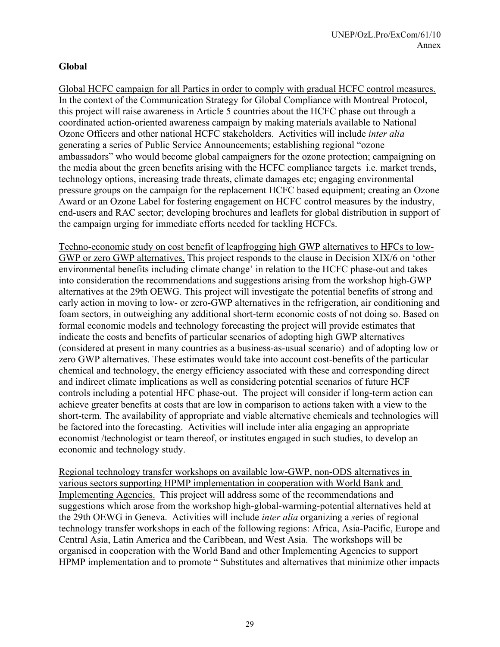### **Global**

Global HCFC campaign for all Parties in order to comply with gradual HCFC control measures. In the context of the Communication Strategy for Global Compliance with Montreal Protocol, this project will raise awareness in Article 5 countries about the HCFC phase out through a coordinated action-oriented awareness campaign by making materials available to National Ozone Officers and other national HCFC stakeholders. Activities will include *inter alia* generating a series of Public Service Announcements; establishing regional "ozone ambassadors" who would become global campaigners for the ozone protection; campaigning on the media about the green benefits arising with the HCFC compliance targets i.e. market trends, technology options, increasing trade threats, climate damages etc; engaging environmental pressure groups on the campaign for the replacement HCFC based equipment; creating an Ozone Award or an Ozone Label for fostering engagement on HCFC control measures by the industry, end-users and RAC sector; developing brochures and leaflets for global distribution in support of the campaign urging for immediate efforts needed for tackling HCFCs.

Techno-economic study on cost benefit of leapfrogging high GWP alternatives to HFCs to low-GWP or zero GWP alternatives. This project responds to the clause in Decision XIX/6 on 'other environmental benefits including climate change' in relation to the HCFC phase-out and takes into consideration the recommendations and suggestions arising from the workshop high-GWP alternatives at the 29th OEWG. This project will investigate the potential benefits of strong and early action in moving to low- or zero-GWP alternatives in the refrigeration, air conditioning and foam sectors, in outweighing any additional short-term economic costs of not doing so. Based on formal economic models and technology forecasting the project will provide estimates that indicate the costs and benefits of particular scenarios of adopting high GWP alternatives (considered at present in many countries as a business-as-usual scenario) and of adopting low or zero GWP alternatives. These estimates would take into account cost-benefits of the particular chemical and technology, the energy efficiency associated with these and corresponding direct and indirect climate implications as well as considering potential scenarios of future HCF controls including a potential HFC phase-out. The project will consider if long-term action can achieve greater benefits at costs that are low in comparison to actions taken with a view to the short-term. The availability of appropriate and viable alternative chemicals and technologies will be factored into the forecasting. Activities will include inter alia engaging an appropriate economist /technologist or team thereof, or institutes engaged in such studies, to develop an economic and technology study.

Regional technology transfer workshops on available low-GWP, non-ODS alternatives in various sectors supporting HPMP implementation in cooperation with World Bank and Implementing Agencies.This project will address some of the recommendations and suggestions which arose from the workshop high-global-warming-potential alternatives held at the 29th OEWG in Geneva. Activities will include *inter alia* organizing a *s*eries of regional technology transfer workshops in each of the following regions: Africa, Asia-Pacific, Europe and Central Asia, Latin America and the Caribbean, and West Asia. The workshops will be organised in cooperation with the World Band and other Implementing Agencies to support HPMP implementation and to promote " Substitutes and alternatives that minimize other impacts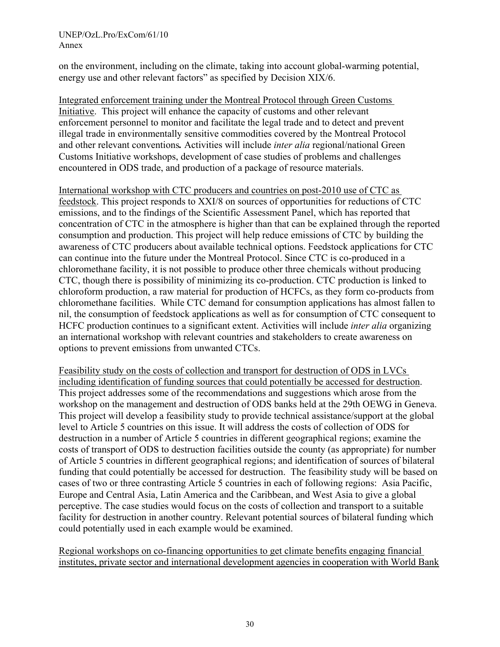on the environment, including on the climate, taking into account global-warming potential, energy use and other relevant factors" as specified by Decision XIX/6.

Integrated enforcement training under the Montreal Protocol through Green Customs Initiative. This project will enhance the capacity of customs and other relevant enforcement personnel to monitor and facilitate the legal trade and to detect and prevent illegal trade in environmentally sensitive commodities covered by the Montreal Protocol and other relevant conventions*.* Activities will include *inter alia* regional/national Green Customs Initiative workshops, development of case studies of problems and challenges encountered in ODS trade, and production of a package of resource materials.

International workshop with CTC producers and countries on post-2010 use of CTC as feedstock. This project responds to XXI/8 on sources of opportunities for reductions of CTC emissions, and to the findings of the Scientific Assessment Panel, which has reported that concentration of CTC in the atmosphere is higher than that can be explained through the reported consumption and production. This project will help reduce emissions of CTC by building the awareness of CTC producers about available technical options. Feedstock applications for CTC can continue into the future under the Montreal Protocol. Since CTC is co-produced in a chloromethane facility, it is not possible to produce other three chemicals without producing CTC, though there is possibility of minimizing its co-production. CTC production is linked to chloroform production, a raw material for production of HCFCs, as they form co-products from chloromethane facilities. While CTC demand for consumption applications has almost fallen to nil, the consumption of feedstock applications as well as for consumption of CTC consequent to HCFC production continues to a significant extent. Activities will include *inter alia* organizing an international workshop with relevant countries and stakeholders to create awareness on options to prevent emissions from unwanted CTCs.

Feasibility study on the costs of collection and transport for destruction of ODS in LVCs including identification of funding sources that could potentially be accessed for destruction. This project addresses some of the recommendations and suggestions which arose from the workshop on the management and destruction of ODS banks held at the 29th OEWG in Geneva. This project will develop a feasibility study to provide technical assistance/support at the global level to Article 5 countries on this issue. It will address the costs of collection of ODS for destruction in a number of Article 5 countries in different geographical regions; examine the costs of transport of ODS to destruction facilities outside the county (as appropriate) for number of Article 5 countries in different geographical regions; and identification of sources of bilateral funding that could potentially be accessed for destruction. The feasibility study will be based on cases of two or three contrasting Article 5 countries in each of following regions: Asia Pacific, Europe and Central Asia, Latin America and the Caribbean, and West Asia to give a global perceptive. The case studies would focus on the costs of collection and transport to a suitable facility for destruction in another country. Relevant potential sources of bilateral funding which could potentially used in each example would be examined.

Regional workshops on co-financing opportunities to get climate benefits engaging financial institutes, private sector and international development agencies in cooperation with World Bank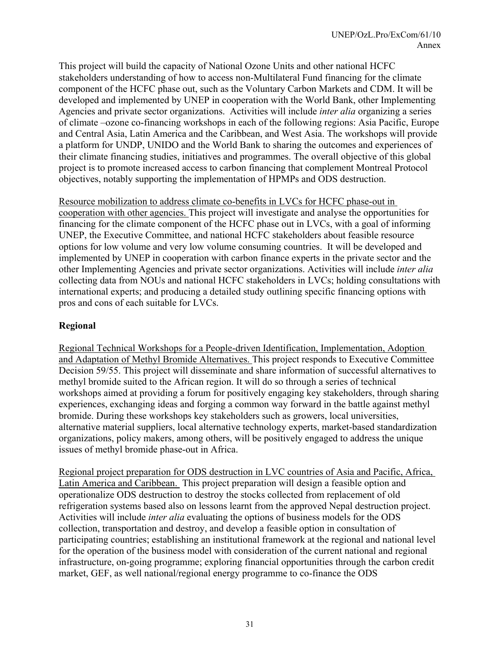This project will build the capacity of National Ozone Units and other national HCFC stakeholders understanding of how to access non-Multilateral Fund financing for the climate component of the HCFC phase out, such as the Voluntary Carbon Markets and CDM. It will be developed and implemented by UNEP in cooperation with the World Bank, other Implementing Agencies and private sector organizations. Activities will include *inter alia* organizing a series of climate –ozone co-financing workshops in each of the following regions: Asia Pacific, Europe and Central Asia, Latin America and the Caribbean, and West Asia. The workshops will provide a platform for UNDP, UNIDO and the World Bank to sharing the outcomes and experiences of their climate financing studies, initiatives and programmes. The overall objective of this global project is to promote increased access to carbon financing that complement Montreal Protocol objectives, notably supporting the implementation of HPMPs and ODS destruction.

Resource mobilization to address climate co-benefits in LVCs for HCFC phase-out in cooperation with other agencies. This project will investigate and analyse the opportunities for financing for the climate component of the HCFC phase out in LVCs, with a goal of informing UNEP, the Executive Committee, and national HCFC stakeholders about feasible resource options for low volume and very low volume consuming countries. It will be developed and implemented by UNEP in cooperation with carbon finance experts in the private sector and the other Implementing Agencies and private sector organizations. Activities will include *inter alia*  collecting data from NOUs and national HCFC stakeholders in LVCs; holding consultations with international experts; and producing a detailed study outlining specific financing options with pros and cons of each suitable for LVCs.

### **Regional**

Regional Technical Workshops for a People-driven Identification, Implementation, Adoption and Adaptation of Methyl Bromide Alternatives. This project responds to Executive Committee Decision 59/55. This project will disseminate and share information of successful alternatives to methyl bromide suited to the African region. It will do so through a series of technical workshops aimed at providing a forum for positively engaging key stakeholders, through sharing experiences, exchanging ideas and forging a common way forward in the battle against methyl bromide. During these workshops key stakeholders such as growers, local universities, alternative material suppliers, local alternative technology experts, market-based standardization organizations, policy makers, among others, will be positively engaged to address the unique issues of methyl bromide phase-out in Africa.

Regional project preparation for ODS destruction in LVC countries of Asia and Pacific, Africa, Latin America and Caribbean. This project preparation will design a feasible option and operationalize ODS destruction to destroy the stocks collected from replacement of old refrigeration systems based also on lessons learnt from the approved Nepal destruction project. Activities will include *inter alia* evaluating the options of business models for the ODS collection, transportation and destroy, and develop a feasible option in consultation of participating countries; establishing an institutional framework at the regional and national level for the operation of the business model with consideration of the current national and regional infrastructure, on-going programme; exploring financial opportunities through the carbon credit market, GEF, as well national/regional energy programme to co-finance the ODS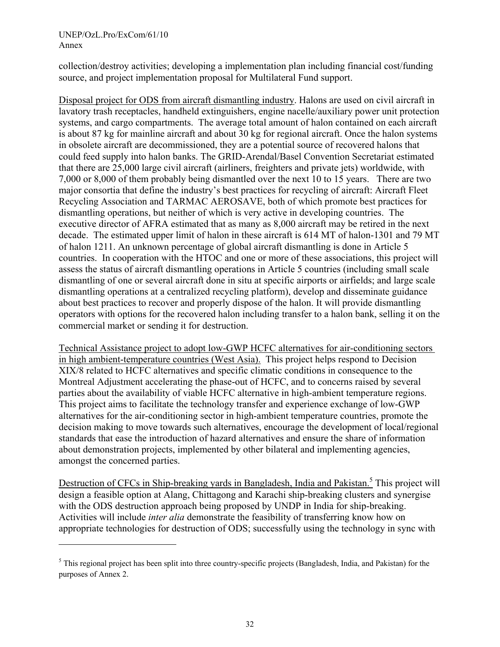l

collection/destroy activities; developing a implementation plan including financial cost/funding source, and project implementation proposal for Multilateral Fund support.

Disposal project for ODS from aircraft dismantling industry. Halons are used on civil aircraft in lavatory trash receptacles, handheld extinguishers, engine nacelle/auxiliary power unit protection systems, and cargo compartments. The average total amount of halon contained on each aircraft is about 87 kg for mainline aircraft and about 30 kg for regional aircraft. Once the halon systems in obsolete aircraft are decommissioned, they are a potential source of recovered halons that could feed supply into halon banks. The GRID-Arendal/Basel Convention Secretariat estimated that there are 25,000 large civil aircraft (airliners, freighters and private jets) worldwide, with 7,000 or 8,000 of them probably being dismantled over the next 10 to 15 years. There are two major consortia that define the industry's best practices for recycling of aircraft: Aircraft Fleet Recycling Association and TARMAC AEROSAVE, both of which promote best practices for dismantling operations, but neither of which is very active in developing countries. The executive director of AFRA estimated that as many as 8,000 aircraft may be retired in the next decade. The estimated upper limit of halon in these aircraft is 614 MT of halon-1301 and 79 MT of halon 1211. An unknown percentage of global aircraft dismantling is done in Article 5 countries. In cooperation with the HTOC and one or more of these associations, this project will assess the status of aircraft dismantling operations in Article 5 countries (including small scale dismantling of one or several aircraft done in situ at specific airports or airfields; and large scale dismantling operations at a centralized recycling platform), develop and disseminate guidance about best practices to recover and properly dispose of the halon. It will provide dismantling operators with options for the recovered halon including transfer to a halon bank, selling it on the commercial market or sending it for destruction.

Technical Assistance project to adopt low-GWP HCFC alternatives for air-conditioning sectors in high ambient-temperature countries (West Asia). This project helps respond to Decision XIX/8 related to HCFC alternatives and specific climatic conditions in consequence to the Montreal Adjustment accelerating the phase-out of HCFC, and to concerns raised by several parties about the availability of viable HCFC alternative in high-ambient temperature regions. This project aims to facilitate the technology transfer and experience exchange of low-GWP alternatives for the air-conditioning sector in high-ambient temperature countries, promote the decision making to move towards such alternatives, encourage the development of local/regional standards that ease the introduction of hazard alternatives and ensure the share of information about demonstration projects, implemented by other bilateral and implementing agencies, amongst the concerned parties.

Destruction of CFCs in Ship-breaking yards in Bangladesh, India and Pakistan.<sup>5</sup> This project will design a feasible option at Alang, Chittagong and Karachi ship-breaking clusters and synergise with the ODS destruction approach being proposed by UNDP in India for ship-breaking. Activities will include *inter alia* demonstrate the feasibility of transferring know how on appropriate technologies for destruction of ODS; successfully using the technology in sync with

 $<sup>5</sup>$  This regional project has been split into three country-specific projects (Bangladesh, India, and Pakistan) for the</sup> purposes of Annex 2.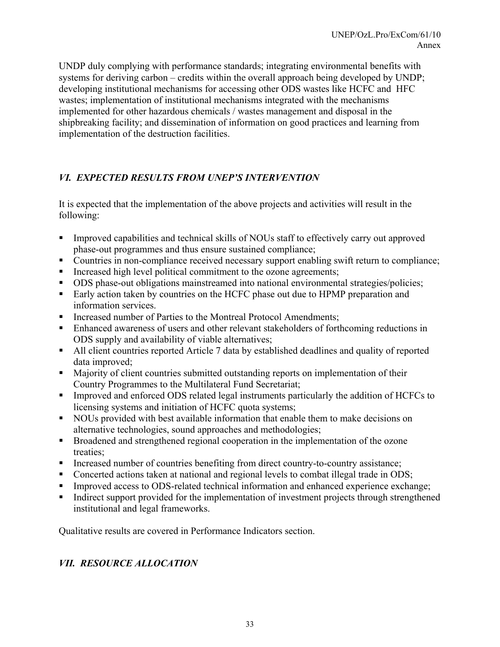UNDP duly complying with performance standards; integrating environmental benefits with systems for deriving carbon – credits within the overall approach being developed by UNDP; developing institutional mechanisms for accessing other ODS wastes like HCFC and HFC wastes; implementation of institutional mechanisms integrated with the mechanisms implemented for other hazardous chemicals / wastes management and disposal in the shipbreaking facility; and dissemination of information on good practices and learning from implementation of the destruction facilities.

# *VI. EXPECTED RESULTS FROM UNEP'S INTERVENTION*

It is expected that the implementation of the above projects and activities will result in the following:

- Improved capabilities and technical skills of NOUs staff to effectively carry out approved phase-out programmes and thus ensure sustained compliance;
- Countries in non-compliance received necessary support enabling swift return to compliance;
- Increased high level political commitment to the ozone agreements;
- ODS phase-out obligations mainstreamed into national environmental strategies/policies;
- Early action taken by countries on the HCFC phase out due to HPMP preparation and information services.
- Increased number of Parties to the Montreal Protocol Amendments;
- Enhanced awareness of users and other relevant stakeholders of forthcoming reductions in ODS supply and availability of viable alternatives;
- All client countries reported Article 7 data by established deadlines and quality of reported data improved;
- **Majority of client countries submitted outstanding reports on implementation of their** Country Programmes to the Multilateral Fund Secretariat;
- Improved and enforced ODS related legal instruments particularly the addition of HCFCs to licensing systems and initiation of HCFC quota systems;
- NOUs provided with best available information that enable them to make decisions on alternative technologies, sound approaches and methodologies;
- Broadened and strengthened regional cooperation in the implementation of the ozone treaties;
- Increased number of countries benefiting from direct country-to-country assistance;
- Concerted actions taken at national and regional levels to combat illegal trade in ODS;
- Improved access to ODS-related technical information and enhanced experience exchange;
- Indirect support provided for the implementation of investment projects through strengthened institutional and legal frameworks.

Qualitative results are covered in Performance Indicators section.

# *VII. RESOURCE ALLOCATION*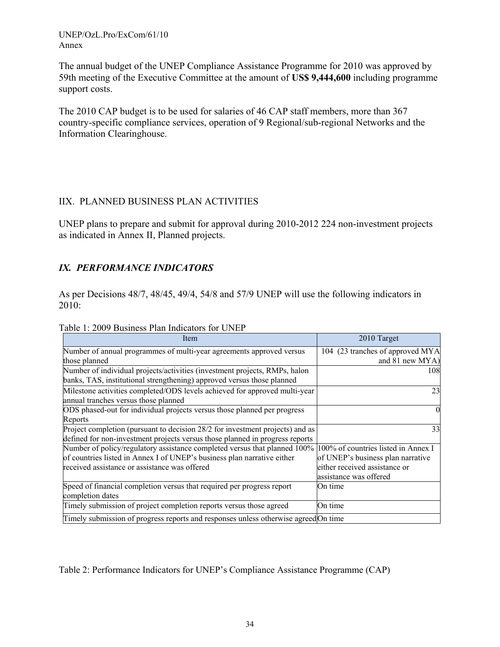The annual budget of the UNEP Compliance Assistance Programme for 2010 was approved by 59th meeting of the Executive Committee at the amount of **US\$ 9,444,600** including programme support costs.

The 2010 CAP budget is to be used for salaries of 46 CAP staff members, more than 367 country-specific compliance services, operation of 9 Regional/sub-regional Networks and the Information Clearinghouse.

### IIX. PLANNED BUSINESS PLAN ACTIVITIES

UNEP plans to prepare and submit for approval during 2010-2012 224 non-investment projects as indicated in Annex II, Planned projects.

# *IX. PERFORMANCE INDICATORS*

As per Decisions 48/7, 48/45, 49/4, 54/8 and 57/9 UNEP will use the following indicators in 2010:

| Table 1: 2009 Business Plan Indicators for UNEP |  |  |
|-------------------------------------------------|--|--|
|-------------------------------------------------|--|--|

| Item                                                                                                                                                 | 2010 Target                         |
|------------------------------------------------------------------------------------------------------------------------------------------------------|-------------------------------------|
| Number of annual programmes of multi-year agreements approved versus                                                                                 | 104 (23 tranches of approved MYA    |
| those planned                                                                                                                                        | and 81 new MYA)                     |
| Number of individual projects/activities (investment projects, RMPs, halon<br>banks, TAS, institutional strengthening) approved versus those planned | 108                                 |
| Milestone activities completed/ODS levels achieved for approved multi-year<br>annual tranches versus those planned                                   | 23                                  |
| ODS phased-out for individual projects versus those planned per progress                                                                             | $\theta$                            |
| Reports                                                                                                                                              |                                     |
| Project completion (pursuant to decision 28/2 for investment projects) and as                                                                        | 33                                  |
| defined for non-investment projects versus those planned in progress reports                                                                         |                                     |
| Number of policy/regulatory assistance completed versus that planned 100%                                                                            | 100% of countries listed in Annex I |
| of countries listed in Annex I of UNEP's business plan narrative either                                                                              | of UNEP's business plan narrative   |
| received assistance or assistance was offered                                                                                                        | either received assistance or       |
|                                                                                                                                                      | assistance was offered              |
| Speed of financial completion versus that required per progress report                                                                               | On time                             |
| completion dates                                                                                                                                     |                                     |
| Timely submission of project completion reports versus those agreed                                                                                  | On time                             |
| Timely submission of progress reports and responses unless otherwise agreed On time                                                                  |                                     |

Table 2: Performance Indicators for UNEP's Compliance Assistance Programme (CAP)